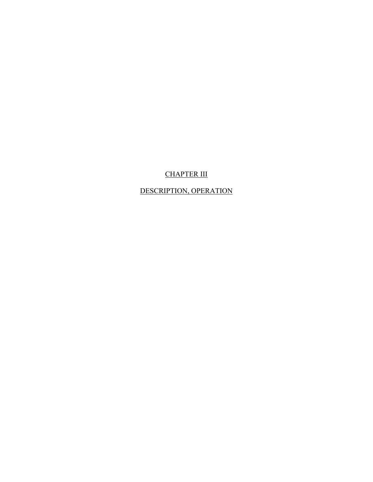# CHAPTER III

## DESCRIPTION, OPERATION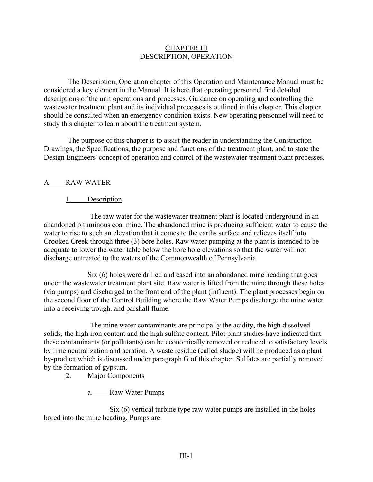#### CHAPTER III DESCRIPTION, OPERATION

The Description, Operation chapter of this Operation and Maintenance Manual must be considered a key element in the Manual. It is here that operating personnel find detailed descriptions of the unit operations and processes. Guidance on operating and controlling the wastewater treatment plant and its individual processes is outlined in this chapter. This chapter should be consulted when an emergency condition exists. New operating personnel will need to study this chapter to learn about the treatment system.

The purpose of this chapter is to assist the reader in understanding the Construction Drawings, the Specifications, the purpose and functions of the treatment plant, and to state the Design Engineers' concept of operation and control of the wastewater treatment plant processes.

#### A. RAW WATER

### 1. Description

The raw water for the wastewater treatment plant is located underground in an abandoned bituminous coal mine. The abandoned mine is producing sufficient water to cause the water to rise to such an elevation that it comes to the earths surface and relieves itself into Crooked Creek through three (3) bore holes. Raw water pumping at the plant is intended to be adequate to lower the water table below the bore hole elevations so that the water will not discharge untreated to the waters of the Commonwealth of Pennsylvania.

Six (6) holes were drilled and cased into an abandoned mine heading that goes under the wastewater treatment plant site. Raw water is lifted from the mine through these holes (via pumps) and discharged to the front end of the plant (influent). The plant processes begin on the second floor of the Control Building where the Raw Water Pumps discharge the mine water into a receiving trough. and parshall flume.

The mine water contaminants are principally the acidity, the high dissolved solids, the high iron content and the high sulfate content. Pilot plant studies have indicated that these contaminants (or pollutants) can be economically removed or reduced to satisfactory levels by lime neutralization and aeration. A waste residue (called sludge) will be produced as a plant by-product which is discussed under paragraph G of this chapter. Sulfates are partially removed by the formation of gypsum.

2. Major Components

a. Raw Water Pumps

Six (6) vertical turbine type raw water pumps are installed in the holes bored into the mine heading. Pumps are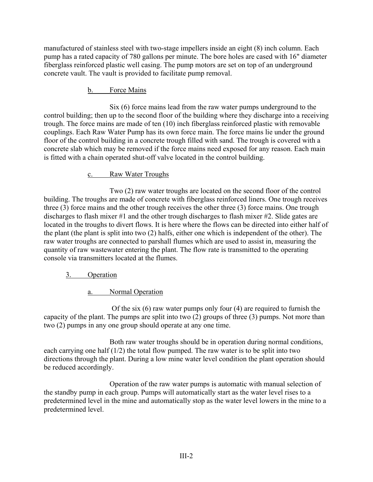manufactured of stainless steel with two-stage impellers inside an eight (8) inch column. Each pump has a rated capacity of 780 gallons per minute. The bore holes are cased with 16" diameter fiberglass reinforced plastic well casing. The pump motors are set on top of an underground concrete vault. The vault is provided to facilitate pump removal.

### b. Force Mains

Six (6) force mains lead from the raw water pumps underground to the control building; then up to the second floor of the building where they discharge into a receiving trough. The force mains are made of ten (10) inch fiberglass reinforced plastic with removable couplings. Each Raw Water Pump has its own force main. The force mains lie under the ground floor of the control building in a concrete trough filled with sand. The trough is covered with a concrete slab which may be removed if the force mains need exposed for any reason. Each main is fitted with a chain operated shut-off valve located in the control building.

#### c. Raw Water Troughs

Two (2) raw water troughs are located on the second floor of the control building. The troughs are made of concrete with fiberglass reinforced liners. One trough receives three (3) force mains and the other trough receives the other three (3) force mains. One trough discharges to flash mixer #1 and the other trough discharges to flash mixer #2. Slide gates are located in the troughs to divert flows. It is here where the flows can be directed into either half of the plant (the plant is split into two (2) halfs, either one which is independent of the other). The raw water troughs are connected to parshall flumes which are used to assist in, measuring the quantity of raw wastewater entering the plant. The flow rate is transmitted to the operating console via transmitters located at the flumes.

#### 3. Operation

#### a. Normal Operation

Of the six (6) raw water pumps only four (4) are required to furnish the capacity of the plant. The pumps are split into two (2) groups of three (3) pumps. Not more than two (2) pumps in any one group should operate at any one time.

Both raw water troughs should be in operation during normal conditions, each carrying one half (1/2) the total flow pumped. The raw water is to be split into two directions through the plant. During a low mine water level condition the plant operation should be reduced accordingly.

Operation of the raw water pumps is automatic with manual selection of the standby pump in each group. Pumps will automatically start as the water level rises to a predetermined level in the mine and automatically stop as the water level lowers in the mine to a predetermined level.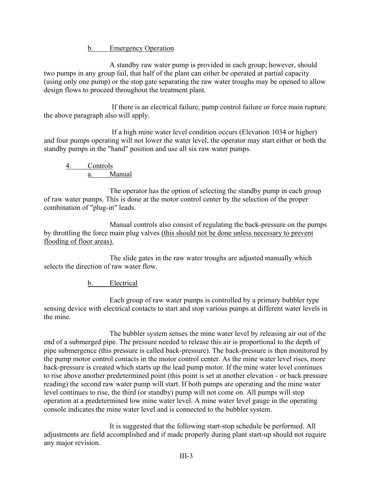b. Emergency Operation

A standby raw water pump is provided in each group; however, should two pumps in any group fail, that half of the plant can either be operated at partial capacity (using only one pump) or the stop gate separating the raw water troughs may be opened to allow design flows to proceed throughout the treatment plant.

If there is an electrical failure, pump control failure or force main rupture, the above paragraph also will apply.

If a high mine water level condition occurs (Elevation 1034 or higher) and four pumps operating will not lower the water level, the operator may start either or both the standby pumps in the "hand" position and use all six raw water pumps.

4. Controls a. Manual

The operator has the option of selecting the standby pump in each group of raw water pumps. This is done at the motor control center by the selection of the proper combination of "plug-in" leads.

Manual controls also consist of regulating the back-pressure on the pumps by throttling the force main plug valves (this should not be done unless necessary to prevent flooding of floor areas).

The slide gates in the raw water troughs are adjusted manually which selects the direction of raw water flow.

b. Electrical

Each group of raw water pumps is controlled by a primary bubbler type sensing device with electrical contacts to start and stop various pumps at different water levels in the mine.

The bubbler system senses the mine water level by releasing air out of the end of a submerged pipe. The pressure needed to release this air is proportional to the depth of pipe submergence (this pressure is called back-pressure). The back-pressure is then monitored by the pump motor control contacts in the motor control center. As the mine water level rises, more back-pressure is created which starts up the lead pump motor. If the mine water level continues to rise above another predetermined point (this point is set at another elevation - or back pressure reading) the second raw water pump will start. If both pumps are operating and the mine water level continues to rise, the third (or standby) pump will not come on. All pumps will stop operation at a predetermined low mine water level. A mine water level gauge in the operating console indicates the mine water level and is connected to the bubbler system.

It is suggested that the following start-stop schedule be performed. All adjustments are field accomplished and if made properly during plant start-up should not require any major revision.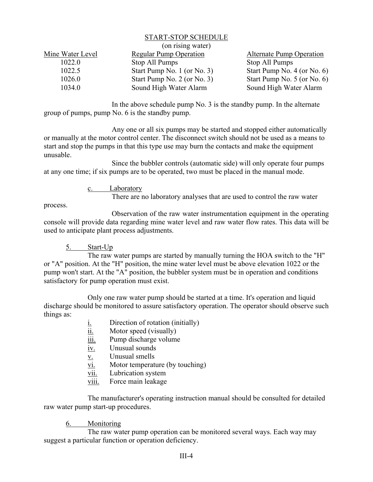#### START-STOP SCHEDULE

| (on rising water) |                               |                               |
|-------------------|-------------------------------|-------------------------------|
| Mine Water Level  | <b>Regular Pump Operation</b> | Alternate Pump Operation      |
| 1022.0            | Stop All Pumps                | Stop All Pumps                |
| 1022.5            | Start Pump No. 1 (or No. 3)   | Start Pump No. $4$ (or No. 6) |
| 1026.0            | Start Pump No. 2 (or No. 3)   | Start Pump No. $5$ (or No. 6) |
| 1034.0            | Sound High Water Alarm        | Sound High Water Alarm        |

In the above schedule pump No. 3 is the standby pump. In the alternate group of pumps, pump No. 6 is the standby pump.

Any one or all six pumps may be started and stopped either automatically or manually at the motor control center. The disconnect switch should not be used as a means to start and stop the pumps in that this type use may burn the contacts and make the equipment unusable.

Since the bubbler controls (automatic side) will only operate four pumps at any one time; if six pumps are to be operated, two must be placed in the manual mode.

c. Laboratory

There are no laboratory analyses that are used to control the raw water

process.

Observation of the raw water instrumentation equipment in the operating console will provide data regarding mine water level and raw water flow rates. This data will be used to anticipate plant process adjustments.

#### 5. Start-Up

The raw water pumps are started by manually turning the HOA switch to the "H" or "A" position. At the "H" position, the mine water level must be above elevation 1022 or the pump won't start. At the "A" position, the bubbler system must be in operation and conditions satisfactory for pump operation must exist.

Only one raw water pump should be started at a time. It's operation and liquid discharge should be monitored to assure satisfactory operation. The operator should observe such things as:

- i. Direction of rotation (initially)
- ii. Motor speed (visually)
- iii. Pump discharge volume
- iv. Unusual sounds
- v. Unusual smells
- vi. Motor temperature (by touching)
- vii. Lubrication system
- viii. Force main leakage

The manufacturer's operating instruction manual should be consulted for detailed raw water pump start-up procedures.

#### 6. Monitoring

The raw water pump operation can be monitored several ways. Each way may suggest a particular function or operation deficiency.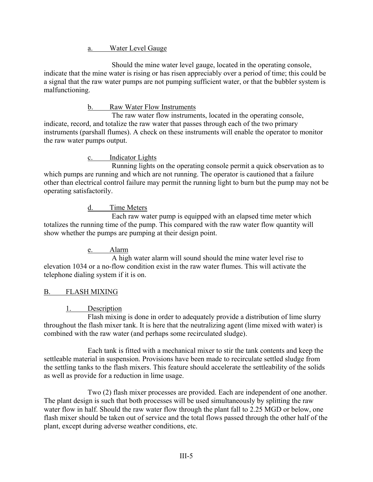a. Water Level Gauge

Should the mine water level gauge, located in the operating console, indicate that the mine water is rising or has risen appreciably over a period of time; this could be a signal that the raw water pumps are not pumping sufficient water, or that the bubbler system is malfunctioning.

## b. Raw Water Flow Instruments

The raw water flow instruments, located in the operating console, indicate, record, and totalize the raw water that passes through each of the two primary instruments (parshall flumes). A check on these instruments will enable the operator to monitor the raw water pumps output.

c. Indicator Lights

Running lights on the operating console permit a quick observation as to which pumps are running and which are not running. The operator is cautioned that a failure other than electrical control failure may permit the running light to burn but the pump may not be operating satisfactorily.

# d. Time Meters

Each raw water pump is equipped with an elapsed time meter which totalizes the running time of the pump. This compared with the raw water flow quantity will show whether the pumps are pumping at their design point.

# e. Alarm

A high water alarm will sound should the mine water level rise to elevation 1034 or a no-flow condition exist in the raw water flumes. This will activate the telephone dialing system if it is on.

# B. FLASH MIXING

#### 1. Description

Flash mixing is done in order to adequately provide a distribution of lime slurry throughout the flash mixer tank. It is here that the neutralizing agent (lime mixed with water) is combined with the raw water (and perhaps some recirculated sludge).

Each tank is fitted with a mechanical mixer to stir the tank contents and keep the settleable material in suspension. Provisions have been made to recirculate settled sludge from the settling tanks to the flash mixers. This feature should accelerate the settleability of the solids as well as provide for a reduction in lime usage.

Two (2) flash mixer processes are provided. Each are independent of one another. The plant design is such that both processes will be used simultaneously by splitting the raw water flow in half. Should the raw water flow through the plant fall to 2.25 MGD or below, one flash mixer should be taken out of service and the total flows passed through the other half of the plant, except during adverse weather conditions, etc.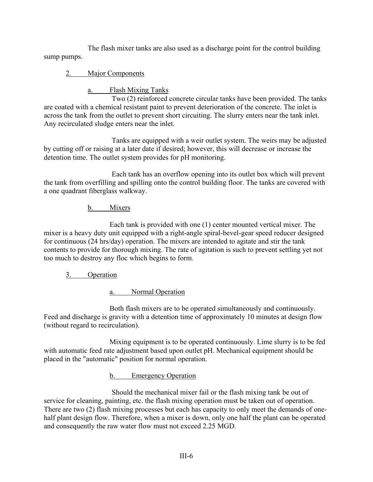The flash mixer tanks are also used as a discharge point for the control building sump pumps.

# 2. Major Components

a. Flash Mixing Tanks

Two (2) reinforced concrete circular tanks have been provided. The tanks are coated with a chemical resistant paint to prevent deterioration of the concrete. The inlet is across the tank from the outlet to prevent short circuiting. The slurry enters near the tank inlet. Any recirculated sludge enters near the inlet.

Tanks are equipped with a weir outlet system. The weirs may be adjusted by cutting off or raising at a later date if desired; however, this will decrease or increase the detention time. The outlet system provides for pH monitoring.

Each tank has an overflow opening into its outlet box which will prevent the tank from overfilling and spilling onto the control building floor. The tanks are covered with a one quadrant fiberglass walkway.

## b. Mixers

Each tank is provided with one (1) center mounted vertical mixer. The mixer is a heavy duty unit equipped with a right-angle spiral-bevel-gear speed reducer designed for continuous (24 hrs/day) operation. The mixers are intended to agitate and stir the tank contents to provide for thorough mixing. The rate of agitation is such to prevent settling yet not too much to destroy any floc which begins to form.

3. Operation

a. Normal Operation

Both flash mixers are to be operated simultaneously and continuously. Feed and discharge is gravity with a detention time of approximately 10 minutes at design flow (without regard to recirculation).

Mixing equipment is to be operated continuously. Lime slurry is to be fed with automatic feed rate adjustment based upon outlet pH. Mechanical equipment should be placed in the "automatic" position for normal operation.

b. Emergency Operation

Should the mechanical mixer fail or the flash mixing tank be out of service for cleaning, painting, etc. the flash mixing operation must be taken out of operation. There are two (2) flash mixing processes but each has capacity to only meet the demands of onehalf plant design flow. Therefore, when a mixer is down, only one half the plant can be operated and consequently the raw water flow must not exceed 2.25 MGD.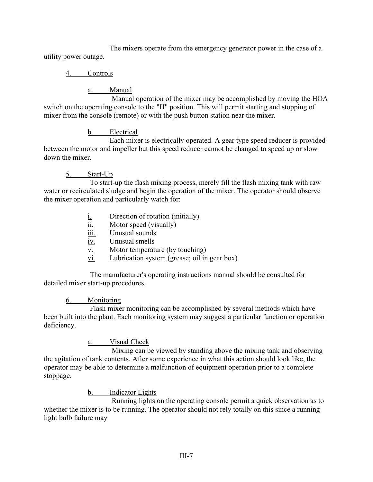The mixers operate from the emergency generator power in the case of a utility power outage.

# 4. Controls

# a. Manual

Manual operation of the mixer may be accomplished by moving the HOA switch on the operating console to the "H" position. This will permit starting and stopping of mixer from the console (remote) or with the push button station near the mixer.

# b. Electrical

Each mixer is electrically operated. A gear type speed reducer is provided between the motor and impeller but this speed reducer cannot be changed to speed up or slow down the mixer.

# 5. Start-Up

To start-up the flash mixing process, merely fill the flash mixing tank with raw water or recirculated sludge and begin the operation of the mixer. The operator should observe the mixer operation and particularly watch for:

- $i.$  Direction of rotation (initially)
- ii. Motor speed (visually)
- iii. Unusual sounds
- iv. Unusual smells
- v. Motor temperature (by touching)
- vi. Lubrication system (grease; oil in gear box)

The manufacturer's operating instructions manual should be consulted for detailed mixer start-up procedures.

# 6. Monitoring

Flash mixer monitoring can be accomplished by several methods which have been built into the plant. Each monitoring system may suggest a particular function or operation deficiency.

# a. Visual Check

Mixing can be viewed by standing above the mixing tank and observing the agitation of tank contents. After some experience in what this action should look like, the operator may be able to determine a malfunction of equipment operation prior to a complete stoppage.

# b. Indicator Lights

Running lights on the operating console permit a quick observation as to whether the mixer is to be running. The operator should not rely totally on this since a running light bulb failure may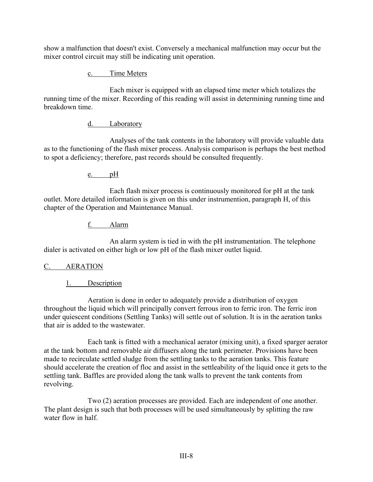show a malfunction that doesn't exist. Conversely a mechanical malfunction may occur but the mixer control circuit may still be indicating unit operation.

c. Time Meters

Each mixer is equipped with an elapsed time meter which totalizes the running time of the mixer. Recording of this reading will assist in determining running time and breakdown time.

# d. Laboratory

Analyses of the tank contents in the laboratory will provide valuable data as to the functioning of the flash mixer process. Analysis comparison is perhaps the best method to spot a deficiency; therefore, past records should be consulted frequently.

e. pH

Each flash mixer process is continuously monitored for pH at the tank outlet. More detailed information is given on this under instrumention, paragraph H, of this chapter of the Operation and Maintenance Manual.

f. Alarm

An alarm system is tied in with the pH instrumentation. The telephone dialer is activated on either high or low pH of the flash mixer outlet liquid.

#### C. AERATION

# 1. Description

Aeration is done in order to adequately provide a distribution of oxygen throughout the liquid which will principally convert ferrous iron to ferric iron. The ferric iron under quiescent conditions (Settling Tanks) will settle out of solution. It is in the aeration tanks that air is added to the wastewater.

Each tank is fitted with a mechanical aerator (mixing unit), a fixed sparger aerator at the tank bottom and removable air diffusers along the tank perimeter. Provisions have been made to recirculate settled sludge from the settling tanks to the aeration tanks. This feature should accelerate the creation of floc and assist in the settleability of the liquid once it gets to the settling tank. Baffles are provided along the tank walls to prevent the tank contents from revolving.

Two (2) aeration processes are provided. Each are independent of one another. The plant design is such that both processes will be used simultaneously by splitting the raw water flow in half.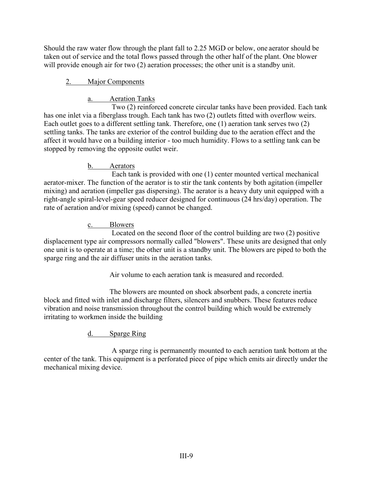Should the raw water flow through the plant fall to 2.25 MGD or below, one aerator should be taken out of service and the total flows passed through the other half of the plant. One blower will provide enough air for two (2) aeration processes; the other unit is a standby unit.

# 2. Major Components

# a. Aeration Tanks

Two (2) reinforced concrete circular tanks have been provided. Each tank has one inlet via a fiberglass trough. Each tank has two (2) outlets fitted with overflow weirs. Each outlet goes to a different settling tank. Therefore, one (1) aeration tank serves two (2) settling tanks. The tanks are exterior of the control building due to the aeration effect and the affect it would have on a building interior - too much humidity. Flows to a settling tank can be stopped by removing the opposite outlet weir.

# b. Aerators

Each tank is provided with one (1) center mounted vertical mechanical aerator-mixer. The function of the aerator is to stir the tank contents by both agitation (impeller mixing) and aeration (impeller gas dispersing). The aerator is a heavy duty unit equipped with a right-angle spiral-level-gear speed reducer designed for continuous (24 hrs/day) operation. The rate of aeration and/or mixing (speed) cannot be changed.

# c. Blowers

Located on the second floor of the control building are two (2) positive displacement type air compressors normally called "blowers". These units are designed that only one unit is to operate at a time; the other unit is a standby unit. The blowers are piped to both the sparge ring and the air diffuser units in the aeration tanks.

Air volume to each aeration tank is measured and recorded.

The blowers are mounted on shock absorbent pads, a concrete inertia block and fitted with inlet and discharge filters, silencers and snubbers. These features reduce vibration and noise transmission throughout the control building which would be extremely irritating to workmen inside the building

# d. Sparge Ring

A sparge ring is permanently mounted to each aeration tank bottom at the center of the tank. This equipment is a perforated piece of pipe which emits air directly under the mechanical mixing device.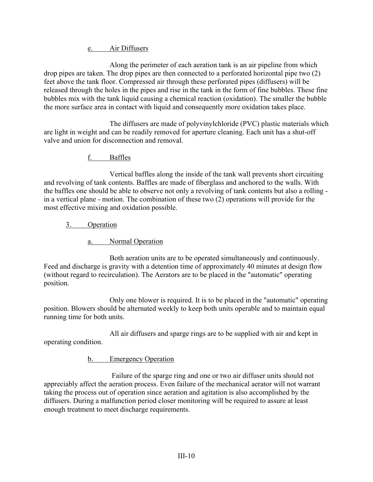## e. Air Diffusers

Along the perimeter of each aeration tank is an air pipeline from which drop pipes are taken. The drop pipes are then connected to a perforated horizontal pipe two (2) feet above the tank floor. Compressed air through these perforated pipes (diffusers) will be released through the holes in the pipes and rise in the tank in the form of fine bubbles. These fine bubbles mix with the tank liquid causing a chemical reaction (oxidation). The smaller the bubble the more surface area in contact with liquid and consequently more oxidation takes place.

The diffusers are made of polyvinylchloride (PVC) plastic materials which are light in weight and can be readily removed for aperture cleaning. Each unit has a shut-off valve and union for disconnection and removal.

# f. Baffles

Vertical baffles along the inside of the tank wall prevents short circuiting and revolving of tank contents. Baffles are made of fiberglass and anchored to the walls. With the baffles one should be able to observe not only a revolving of tank contents but also a rolling in a vertical plane - motion. The combination of these two  $(2)$  operations will provide for the most effective mixing and oxidation possible.

# 3. Operation

# a. Normal Operation

Both aeration units are to be operated simultaneously and continuously. Feed and discharge is gravity with a detention time of approximately 40 minutes at design flow (without regard to recirculation). The Aerators are to be placed in the "automatic" operating position.

Only one blower is required. It is to be placed in the "automatic" operating position. Blowers should be alternated weekly to keep both units operable and to maintain equal running time for both units.

All air diffusers and sparge rings are to be supplied with air and kept in operating condition.

# b. Emergency Operation

Failure of the sparge ring and one or two air diffuser units should not appreciably affect the aeration process. Even failure of the mechanical aerator will not warrant taking the process out of operation since aeration and agitation is also accomplished by the diffusers. During a malfunction period closer monitoring will be required to assure at least enough treatment to meet discharge requirements.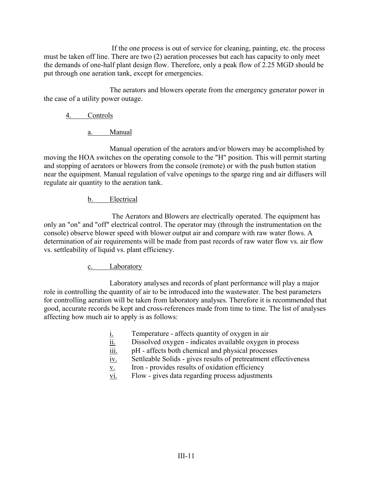If the one process is out of service for cleaning, painting, etc. the process must be taken off line. There are two (2) aeration processes but each has capacity to only meet the demands of one-half plant design flow. Therefore, only a peak flow of 2.25 MGD should be put through one aeration tank, except for emergencies.

The aerators and blowers operate from the emergency generator power in the case of a utility power outage.

# 4. Controls

a. Manual

Manual operation of the aerators and/or blowers may be accomplished by moving the HOA switches on the operating console to the "H" position. This will permit starting and stopping of aerators or blowers from the console (remote) or with the push button station near the equipment. Manual regulation of valve openings to the sparge ring and air diffusers will regulate air quantity to the aeration tank.

## b. Electrical

The Aerators and Blowers are electrically operated. The equipment has only an "on" and "off" electrical control. The operator may (through the instrumentation on the console) observe blower speed with blower output air and compare with raw water flows. A determination of air requirements will be made from past records of raw water flow vs. air flow vs. settleability of liquid vs. plant efficiency.

# c. Laboratory

Laboratory analyses and records of plant performance will play a major role in controlling the quantity of air to be introduced into the wastewater. The best parameters for controlling aeration will be taken from laboratory analyses. Therefore it is recommended that good, accurate records be kept and cross-references made from time to time. The list of analyses affecting how much air to apply is as follows:

- i. Temperature affects quantity of oxygen in air
- ii. Dissolved oxygen indicates available oxygen in process
- $\overline{\text{iii}}$ . pH affects both chemical and physical processes
- iv. Settleable Solids gives results of pretreatment effectiveness
- v. Iron provides results of oxidation efficiency
- vi. Flow gives data regarding process adjustments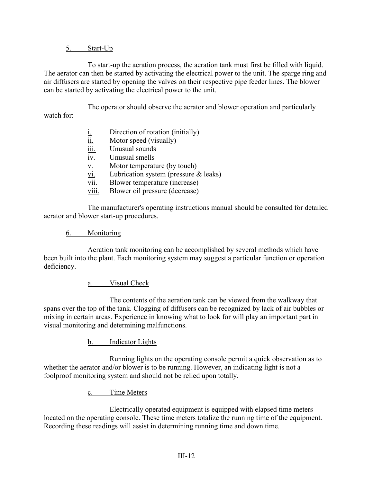#### 5. Start-Up

To start-up the aeration process, the aeration tank must first be filled with liquid. The aerator can then be started by activating the electrical power to the unit. The sparge ring and air diffusers are started by opening the valves on their respective pipe feeder lines. The blower can be started by activating the electrical power to the unit.

The operator should observe the aerator and blower operation and particularly watch for:

| <u>i.</u>                             | Direction of rotation (initially)       |
|---------------------------------------|-----------------------------------------|
| $\overline{\overline{\mathbf{ii}}}$ . | Motor speed (visually)                  |
| $\overline{111}$ .                    | Unusual sounds                          |
| iv.                                   | Unusual smells                          |
| <u>V.</u>                             | Motor temperature (by touch)            |
| vi.                                   | Lubrication system (pressure $&$ leaks) |
| vii.                                  | Blower temperature (increase)           |
|                                       |                                         |

viii. Blower oil pressure (decrease)

The manufacturer's operating instructions manual should be consulted for detailed aerator and blower start-up procedures.

#### 6. Monitoring

Aeration tank monitoring can be accomplished by several methods which have been built into the plant. Each monitoring system may suggest a particular function or operation deficiency.

#### a. Visual Check

The contents of the aeration tank can be viewed from the walkway that spans over the top of the tank. Clogging of diffusers can be recognized by lack of air bubbles or mixing in certain areas. Experience in knowing what to look for will play an important part in visual monitoring and determining malfunctions.

b. Indicator Lights

Running lights on the operating console permit a quick observation as to whether the aerator and/or blower is to be running. However, an indicating light is not a foolproof monitoring system and should not be relied upon totally.

c. Time Meters

Electrically operated equipment is equipped with elapsed time meters located on the operating console. These time meters totalize the running time of the equipment. Recording these readings will assist in determining running time and down time.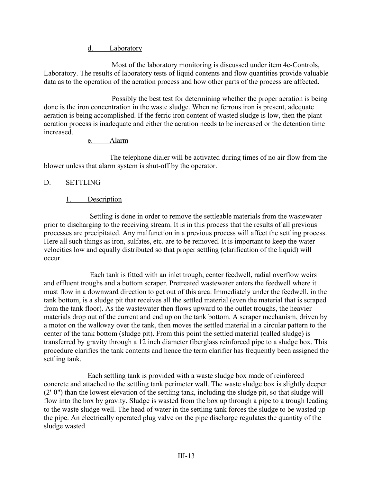d. Laboratory

Most of the laboratory monitoring is discussed under item 4c-Controls, Laboratory. The results of laboratory tests of liquid contents and flow quantities provide valuable data as to the operation of the aeration process and how other parts of the process are affected.

Possibly the best test for determining whether the proper aeration is being done is the iron concentration in the waste sludge. When no ferrous iron is present, adequate aeration is being accomplished. If the ferric iron content of wasted sludge is low, then the plant aeration process is inadequate and either the aeration needs to be increased or the detention time increased.

#### e. Alarm

The telephone dialer will be activated during times of no air flow from the blower unless that alarm system is shut-off by the operator.

#### D. SETTLING

## 1. Description

Settling is done in order to remove the settleable materials from the wastewater prior to discharging to the receiving stream. It is in this process that the results of all previous processes are precipitated. Any malfunction in a previous process will affect the settling process. Here all such things as iron, sulfates, etc. are to be removed. It is important to keep the water velocities low and equally distributed so that proper settling (clarification of the liquid) will occur.

Each tank is fitted with an inlet trough, center feedwell, radial overflow weirs and effluent troughs and a bottom scraper. Pretreated wastewater enters the feedwell where it must flow in a downward direction to get out of this area. Immediately under the feedwell, in the tank bottom, is a sludge pit that receives all the settled material (even the material that is scraped from the tank floor). As the wastewater then flows upward to the outlet troughs, the heavier materials drop out of the current and end up on the tank bottom. A scraper mechanism, driven by a motor on the walkway over the tank, then moves the settled material in a circular pattern to the center of the tank bottom (sludge pit). From this point the settled material (called sludge) is transferred by gravity through a 12 inch diameter fiberglass reinforced pipe to a sludge box. This procedure clarifies the tank contents and hence the term clarifier has frequently been assigned the settling tank.

Each settling tank is provided with a waste sludge box made of reinforced concrete and attached to the settling tank perimeter wall. The waste sludge box is slightly deeper (2'-0") than the lowest elevation of the settling tank, including the sludge pit, so that sludge will flow into the box by gravity. Sludge is wasted from the box up through a pipe to a trough leading to the waste sludge well. The head of water in the settling tank forces the sludge to be wasted up the pipe. An electrically operated plug valve on the pipe discharge regulates the quantity of the sludge wasted.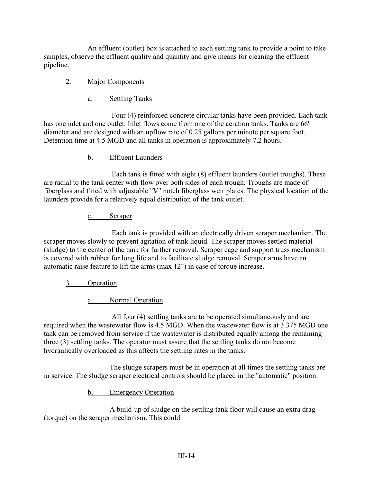An effluent (outlet) box is attached to each settling tank to provide a point to take samples, observe the effluent quality and quantity and give means for cleaning the effluent pipeline.

# 2. Major Components

a. Settling Tanks

Four (4) reinforced concrete circular tanks have been provided. Each tank has one inlet and one outlet. Inlet flows come from one of the aeration tanks. Tanks are 66' diameter and are designed with an upflow rate of 0.25 gallons per minute per square foot. Detention time at 4.5 MGD and all tanks in operation is approximately 7.2 hours.

#### b. Effluent Launders

Each tank is fitted with eight (8) effluent launders (outlet troughs). These are radial to the tank center with flow over both sides of each trough. Troughs are made of fiberglass and fitted with adjustable "V" notch fiberglass weir plates. The physical location of the launders provide for a relatively equal distribution of the tank outlet.

## c. Scraper

Each tank is provided with an electrically driven scraper mechanism. The scraper moves slowly to prevent agitation of tank liquid. The scraper moves settled material (sludge) to the center of the tank for further removal. Scraper cage and support truss mechanism is covered with rubber for long life and to facilitate sludge removal. Scraper arms have an automatic raise feature to lift the arms (max 12") in case of torque increase.

# 3. Operation

a. Normal Operation

All four (4) settling tanks are to be operated simultaneously and are required when the wastewater flow is 4.5 MGD. When the wastewater flow is at 3.375 MGD one tank can be removed from service if the wastewater is distributed equally among the remaining three (3) settling tanks. The operator must assure that the settling tanks do not become hydraulically overloaded as this affects the settling rates in the tanks.

The sludge scrapers must be in operation at all times the settling tanks are in service. The sludge scraper electrical controls should be placed in the "automatic" position.

b. Emergency Operation

A build-up of sludge on the settling tank floor will cause an extra drag (torque) on the scraper mechanism. This could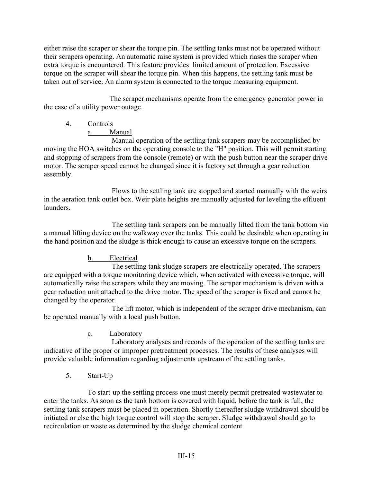either raise the scraper or shear the torque pin. The settling tanks must not be operated without their scrapers operating. An automatic raise system is provided which riases the scraper when extra torque is encountered. This feature provides limited amount of protection. Excessive torque on the scraper will shear the torque pin. When this happens, the settling tank must be taken out of service. An alarm system is connected to the torque measuring equipment.

The scraper mechanisms operate from the emergency generator power in the case of a utility power outage.

# 4. Controls

a. Manual

Manual operation of the settling tank scrapers may be accomplished by moving the HOA switches on the operating console to the "H" position. This will permit starting and stopping of scrapers from the console (remote) or with the push button near the scraper drive motor. The scraper speed cannot be changed since it is factory set through a gear reduction assembly.

Flows to the settling tank are stopped and started manually with the weirs in the aeration tank outlet box. Weir plate heights are manually adjusted for leveling the effluent launders.

The settling tank scrapers can be manually lifted from the tank bottom via a manual lifting device on the walkway over the tanks. This could be desirable when operating in the hand position and the sludge is thick enough to cause an excessive torque on the scrapers.

# b. Electrical

The settling tank sludge scrapers are electrically operated. The scrapers are equipped with a torque monitoring device which, when activated with excessive torque, will automatically raise the scrapers while they are moving. The scraper mechanism is driven with a gear reduction unit attached to the drive motor. The speed of the scraper is fixed and cannot be changed by the operator.

The lift motor, which is independent of the scraper drive mechanism, can be operated manually with a local push button.

# c. Laboratory

Laboratory analyses and records of the operation of the settling tanks are indicative of the proper or improper pretreatment processes. The results of these analyses will provide valuable information regarding adjustments upstream of the settling tanks.

# 5. Start-Up

To start-up the settling process one must merely permit pretreated wastewater to enter the tanks. As soon as the tank bottom is covered with liquid, before the tank is full, the settling tank scrapers must be placed in operation. Shortly thereafter sludge withdrawal should be initiated or else the high torque control will stop the scraper. Sludge withdrawal should go to recirculation or waste as determined by the sludge chemical content.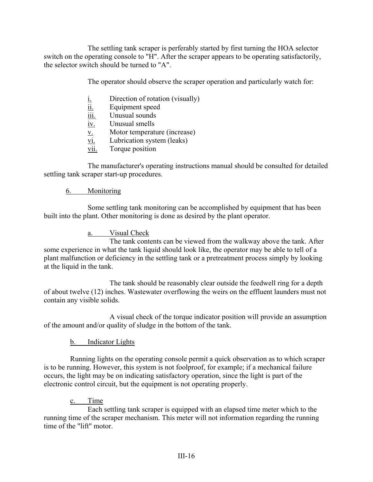The settling tank scraper is perferably started by first turning the HOA selector switch on the operating console to "H". After the scraper appears to be operating satisfactorily, the selector switch should be turned to "A".

The operator should observe the scraper operation and particularly watch for:

- i. Direction of rotation (visually)
- ii. Equipment speed
- iii. Unusual sounds
- iv. Unusual smells
- v. Motor temperature (increase)
- vi. Lubrication system (leaks)
- vii. Torque position

The manufacturer's operating instructions manual should be consulted for detailed settling tank scraper start-up procedures.

## 6. Monitoring

Some settling tank monitoring can be accomplished by equipment that has been built into the plant. Other monitoring is done as desired by the plant operator.

## a. Visual Check

The tank contents can be viewed from the walkway above the tank. After some experience in what the tank liquid should look like, the operator may be able to tell of a plant malfunction or deficiency in the settling tank or a pretreatment process simply by looking at the liquid in the tank.

The tank should be reasonably clear outside the feedwell ring for a depth of about twelve (12) inches. Wastewater overflowing the weirs on the effluent launders must not contain any visible solids.

A visual check of the torque indicator position will provide an assumption of the amount and/or quality of sludge in the bottom of the tank.

# b. Indicator Lights

Running lights on the operating console permit a quick observation as to which scraper is to be running. However, this system is not foolproof, for example; if a mechanical failure occurs, the light may be on indicating satisfactory operation, since the light is part of the electronic control circuit, but the equipment is not operating properly.

# c. Time

Each settling tank scraper is equipped with an elapsed time meter which to the running time of the scraper mechanism. This meter will not information regarding the running time of the "lift" motor.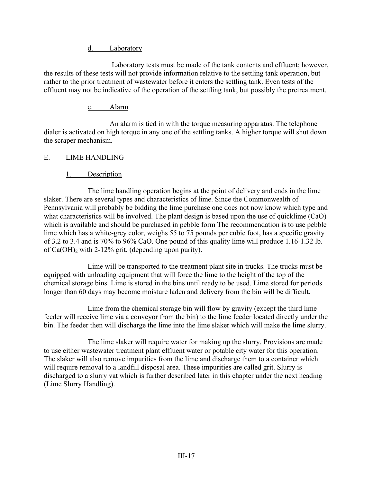d. Laboratory

Laboratory tests must be made of the tank contents and effluent; however, the results of these tests will not provide information relative to the settling tank operation, but rather to the prior treatment of wastewater before it enters the settling tank. Even tests of the effluent may not be indicative of the operation of the settling tank, but possibly the pretreatment.

## e. Alarm

An alarm is tied in with the torque measuring apparatus. The telephone dialer is activated on high torque in any one of the settling tanks. A higher torque will shut down the scraper mechanism.

# E. LIME HANDLING

# 1. Description

The lime handling operation begins at the point of delivery and ends in the lime slaker. There are several types and characteristics of lime. Since the Commonwealth of Pennsylvania will probably be bidding the lime purchase one does not now know which type and what characteristics will be involved. The plant design is based upon the use of quicklime (CaO) which is available and should be purchased in pebble form The recommendation is to use pebble lime which has a white-grey color, weighs 55 to 75 pounds per cubic foot, has a specific gravity of 3.2 to 3.4 and is 70% to 96% CaO. One pound of this quality lime will produce 1.16-1.32 lb. of  $Ca(OH)_2$  with 2-12% grit, (depending upon purity).

Lime will be transported to the treatment plant site in trucks. The trucks must be equipped with unloading equipment that will force the lime to the height of the top of the chemical storage bins. Lime is stored in the bins until ready to be used. Lime stored for periods longer than 60 days may become moisture laden and delivery from the bin will be difficult.

Lime from the chemical storage bin will flow by gravity (except the third lime feeder will receive lime via a conveyor from the bin) to the lime feeder located directly under the bin. The feeder then will discharge the lime into the lime slaker which will make the lime slurry.

The lime slaker will require water for making up the slurry. Provisions are made to use either wastewater treatment plant effluent water or potable city water for this operation. The slaker will also remove impurities from the lime and discharge them to a container which will require removal to a landfill disposal area. These impurities are called grit. Slurry is discharged to a slurry vat which is further described later in this chapter under the next heading (Lime Slurry Handling).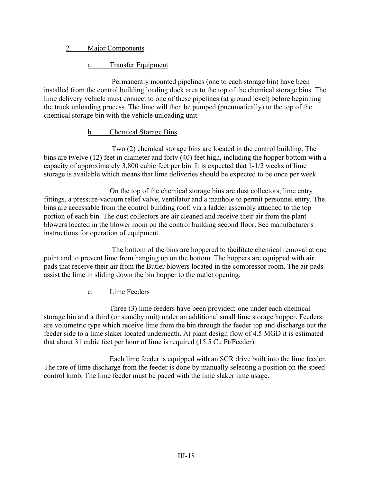## 2. Major Components

#### a. Transfer Equipment

Permanently mounted pipelines (one to each storage bin) have been installed from the control building loading dock area to the top of the chemical storage bins. The lime delivery vehicle must connect to one of these pipelines (at ground level) before beginning the truck unloading process. The lime will then be pumped (pneumatically) to the top of the chemical storage bin with the vehicle unloading unit.

#### b. Chemical Storage Bins

Two (2) chemical storage bins are located in the control building. The bins are twelve (12) feet in diameter and forty (40) feet high, including the hopper bottom with a capacity of approximately 3,800 cubic feet per bin. It is expected that 1-1/2 weeks of lime storage is available which means that lime deliveries should be expected to be once per week.

On the top of the chemical storage bins are dust collectors, lime entry fittings, a pressure-vacuum relief valve, ventilator and a manhole to permit personnel entry. The bins are accessable from the control building roof, via a ladder assembly attached to the top portion of each bin. The dust collectors are air cleaned and receive their air from the plant blowers located in the blower room on the control building second floor. See manufacturer's instructions for operation of equipment.

The bottom of the bins are hoppered to facilitate chemical removal at one point and to prevent lime from hanging up on the bottom. The hoppers are equipped with air pads that receive their air from the Butler blowers located in the compressor room. The air pads assist the lime in sliding down the bin hopper to the outlet opening.

c. Lime Feeders

Three (3) lime feeders have been provided; one under each chemical storage bin and a third (or standby unit) under an additional small lime storage hopper. Feeders are volumetric type which receive lime from the bin through the feeder top and discharge out the feeder side to a lime slaker located underneath. At plant design flow of 4.5 MGD it is estimated that about 31 cubic feet per hour of lime is required (15.5 Cu Ft/Feeder).

Each lime feeder is equipped with an SCR drive built into the lime feeder. The rate of lime discharge from the feeder is done by manually selecting a position on the speed control knob. The lime feeder must be paced with the lime slaker lime usage.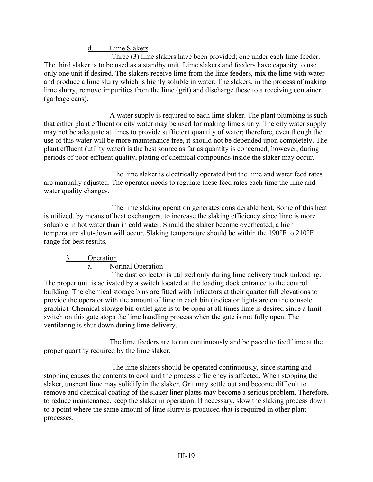d. Lime Slakers

Three (3) lime slakers have been provided; one under each lime feeder. The third slaker is to be used as a standby unit. Lime slakers and feeders have capacity to use only one unit if desired. The slakers receive lime from the lime feeders, mix the lime with water and produce a lime slurry which is highly soluble in water. The slakers, in the process of making lime slurry, remove impurities from the lime (grit) and discharge these to a receiving container (garbage cans).

A water supply is required to each lime slaker. The plant plumbing is such that either plant effluent or city water may be used for making lime slurry. The city water supply may not be adequate at times to provide sufficient quantity of water; therefore, even though the use of this water will be more maintenance free, it should not be depended upon completely. The plant effluent (utility water) is the best source as far as quantity is concerned; however, during periods of poor effluent quality, plating of chemical compounds inside the slaker may occur.

The lime slaker is electrically operated but the lime and water feed rates are manually adjusted. The operator needs to regulate these feed rates each time the lime and water quality changes.

The lime slaking operation generates considerable heat. Some of this heat is utilized, by means of heat exchangers, to increase the slaking efficiency since lime is more soluable in hot water than in cold water. Should the slaker become overheated, a high temperature shut-down will occur. Slaking temperature should be within the 190°F to 210°F range for best results.

#### 3. Operation

#### a. Normal Operation

The dust collector is utilized only during lime delivery truck unloading. The proper unit is activated by a switch located at the loading dock entrance to the control building. The chemical storage bins are fitted with indicators at their quarter full elevations to provide the operator with the amount of lime in each bin (indicator lights are on the console graphic). Chemical storage bin outlet gate is to be open at all times lime is desired since a limit switch on this gate stops the lime handling process when the gate is not fully open. The ventilating is shut down during lime delivery.

The lime feeders are to run continuously and be paced to feed lime at the proper quantity required by the lime slaker.

The lime slakers should be operated continuously, since starting and stopping causes the contents to cool and the process efficiency is affected. When stopping the slaker, unspent lime may solidify in the slaker. Grit may settle out and become difficult to remove and chemical coating of the slaker liner plates may become a serious problem. Therefore, to reduce maintenance, keep the slaker in operation. If necessary, slow the slaking process down to a point where the same amount of lime slurry is produced that is required in other plant processes.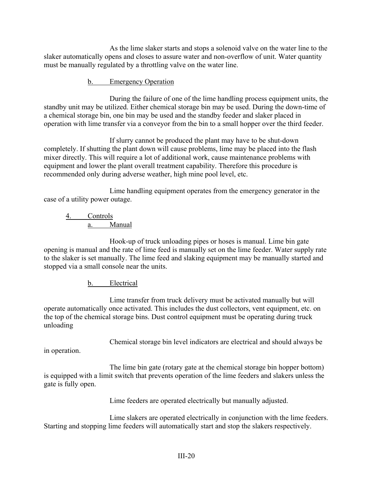As the lime slaker starts and stops a solenoid valve on the water line to the slaker automatically opens and closes to assure water and non-overflow of unit. Water quantity must be manually regulated by a throttling valve on the water line.

### b. Emergency Operation

During the failure of one of the lime handling process equipment units, the standby unit may be utilized. Either chemical storage bin may be used. During the down-time of a chemical storage bin, one bin may be used and the standby feeder and slaker placed in operation with lime transfer via a conveyor from the bin to a small hopper over the third feeder.

If slurry cannot be produced the plant may have to be shut-down completely. If shutting the plant down will cause problems, lime may be placed into the flash mixer directly. This will require a lot of additional work, cause maintenance problems with equipment and lower the plant overall treatment capability. Therefore this procedure is recommended only during adverse weather, high mine pool level, etc.

Lime handling equipment operates from the emergency generator in the case of a utility power outage.

# 4. Controls a. Manual

Hook-up of truck unloading pipes or hoses is manual. Lime bin gate opening is manual and the rate of lime feed is manually set on the lime feeder. Water supply rate to the slaker is set manually. The lime feed and slaking equipment may be manually started and stopped via a small console near the units.

# b. Electrical

Lime transfer from truck delivery must be activated manually but will operate automatically once activated. This includes the dust collectors, vent equipment, etc. on the top of the chemical storage bins. Dust control equipment must be operating during truck unloading

Chemical storage bin level indicators are electrical and should always be

in operation.

The lime bin gate (rotary gate at the chemical storage bin hopper bottom) is equipped with a limit switch that prevents operation of the lime feeders and slakers unless the gate is fully open.

Lime feeders are operated electrically but manually adjusted.

Lime slakers are operated electrically in conjunction with the lime feeders. Starting and stopping lime feeders will automatically start and stop the slakers respectively.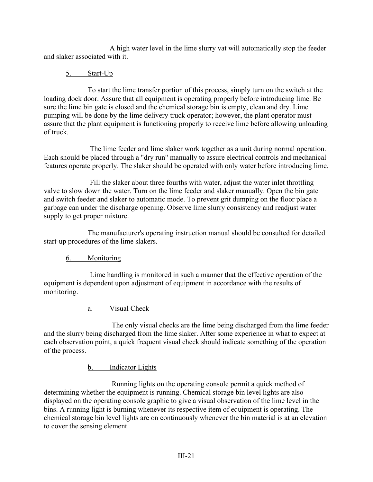A high water level in the lime slurry vat will automatically stop the feeder and slaker associated with it.

## 5. Start-Up

To start the lime transfer portion of this process, simply turn on the switch at the loading dock door. Assure that all equipment is operating properly before introducing lime. Be sure the lime bin gate is closed and the chemical storage bin is empty, clean and dry. Lime pumping will be done by the lime delivery truck operator; however, the plant operator must assure that the plant equipment is functioning properly to receive lime before allowing unloading of truck.

The lime feeder and lime slaker work together as a unit during normal operation. Each should be placed through a "dry run" manually to assure electrical controls and mechanical features operate properly. The slaker should be operated with only water before introducing lime.

Fill the slaker about three fourths with water, adjust the water inlet throttling valve to slow down the water. Turn on the lime feeder and slaker manually. Open the bin gate and switch feeder and slaker to automatic mode. To prevent grit dumping on the floor place a garbage can under the discharge opening. Observe lime slurry consistency and readjust water supply to get proper mixture.

The manufacturer's operating instruction manual should be consulted for detailed start-up procedures of the lime slakers.

# 6. Monitoring

Lime handling is monitored in such a manner that the effective operation of the equipment is dependent upon adjustment of equipment in accordance with the results of monitoring.

#### a. Visual Check

The only visual checks are the lime being discharged from the lime feeder and the slurry being discharged from the lime slaker. After some experience in what to expect at each observation point, a quick frequent visual check should indicate something of the operation of the process.

b. Indicator Lights

Running lights on the operating console permit a quick method of determining whether the equipment is running. Chemical storage bin level lights are also displayed on the operating console graphic to give a visual observation of the lime level in the bins. A running light is burning whenever its respective item of equipment is operating. The chemical storage bin level lights are on continuously whenever the bin material is at an elevation to cover the sensing element.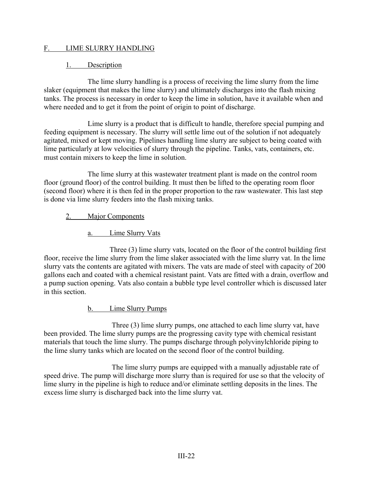#### F. LIME SLURRY HANDLING

#### 1. Description

The lime slurry handling is a process of receiving the lime slurry from the lime slaker (equipment that makes the lime slurry) and ultimately discharges into the flash mixing tanks. The process is necessary in order to keep the lime in solution, have it available when and where needed and to get it from the point of origin to point of discharge.

Lime slurry is a product that is difficult to handle, therefore special pumping and feeding equipment is necessary. The slurry will settle lime out of the solution if not adequately agitated, mixed or kept moving. Pipelines handling lime slurry are subject to being coated with lime particularly at low velocities of slurry through the pipeline. Tanks, vats, containers, etc. must contain mixers to keep the lime in solution.

The lime slurry at this wastewater treatment plant is made on the control room floor (ground floor) of the control building. It must then be lifted to the operating room floor (second floor) where it is then fed in the proper proportion to the raw wastewater. This last step is done via lime slurry feeders into the flash mixing tanks.

#### 2. Major Components

a. Lime Slurry Vats

Three (3) lime slurry vats, located on the floor of the control building first floor, receive the lime slurry from the lime slaker associated with the lime slurry vat. In the lime slurry vats the contents are agitated with mixers. The vats are made of steel with capacity of 200 gallons each and coated with a chemical resistant paint. Vats are fitted with a drain, overflow and a pump suction opening. Vats also contain a bubble type level controller which is discussed later in this section.

## b. Lime Slurry Pumps

Three (3) lime slurry pumps, one attached to each lime slurry vat, have been provided. The lime slurry pumps are the progressing cavity type with chemical resistant materials that touch the lime slurry. The pumps discharge through polyvinylchloride piping to the lime slurry tanks which are located on the second floor of the control building.

The lime slurry pumps are equipped with a manually adjustable rate of speed drive. The pump will discharge more slurry than is required for use so that the velocity of lime slurry in the pipeline is high to reduce and/or eliminate settling deposits in the lines. The excess lime slurry is discharged back into the lime slurry vat.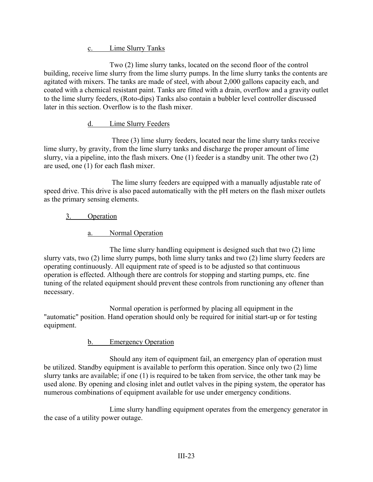c. Lime Slurry Tanks

Two (2) lime slurry tanks, located on the second floor of the control building, receive lime slurry from the lime slurry pumps. In the lime slurry tanks the contents are agitated with mixers. The tanks are made of steel, with about 2,000 gallons capacity each, and coated with a chemical resistant paint. Tanks are fitted with a drain, overflow and a gravity outlet to the lime slurry feeders, (Roto-dips) Tanks also contain a bubbler level controller discussed later in this section. Overflow is to the flash mixer.

# d. Lime Slurry Feeders

Three (3) lime slurry feeders, located near the lime slurry tanks receive lime slurry, by gravity, from the lime slurry tanks and discharge the proper amount of lime slurry, via a pipeline, into the flash mixers. One (1) feeder is a standby unit. The other two (2) are used, one (1) for each flash mixer.

The lime slurry feeders are equipped with a manually adjustable rate of speed drive. This drive is also paced automatically with the pH meters on the flash mixer outlets as the primary sensing elements.

# 3. Operation

a. Normal Operation

The lime slurry handling equipment is designed such that two (2) lime slurry vats, two (2) lime slurry pumps, both lime slurry tanks and two (2) lime slurry feeders are operating continuously. All equipment rate of speed is to be adjusted so that continuous operation is effected. Although there are controls for stopping and starting pumps, etc. fine tuning of the related equipment should prevent these controls from runctioning any oftener than necessary.

Normal operation is performed by placing all equipment in the "automatic" position. Hand operation should only be required for initial start-up or for testing equipment.

# b. Emergency Operation

Should any item of equipment fail, an emergency plan of operation must be utilized. Standby equipment is available to perform this operation. Since only two (2) lime slurry tanks are available; if one (1) is required to be taken from service, the other tank may be used alone. By opening and closing inlet and outlet valves in the piping system, the operator has numerous combinations of equipment available for use under emergency conditions.

Lime slurry handling equipment operates from the emergency generator in the case of a utility power outage.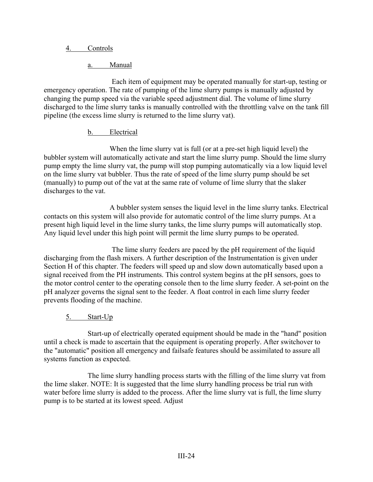#### 4. Controls

a. Manual

Each item of equipment may be operated manually for start-up, testing or emergency operation. The rate of pumping of the lime slurry pumps is manually adjusted by changing the pump speed via the variable speed adjustment dial. The volume of lime slurry discharged to the lime slurry tanks is manually controlled with the throttling valve on the tank fill pipeline (the excess lime slurry is returned to the lime slurry vat).

#### b. Electrical

When the lime slurry vat is full (or at a pre-set high liquid level) the bubbler system will automatically activate and start the lime slurry pump. Should the lime slurry pump empty the lime slurry vat, the pump will stop pumping automatically via a low liquid level on the lime slurry vat bubbler. Thus the rate of speed of the lime slurry pump should be set (manually) to pump out of the vat at the same rate of volume of lime slurry that the slaker discharges to the vat.

A bubbler system senses the liquid level in the lime slurry tanks. Electrical contacts on this system will also provide for automatic control of the lime slurry pumps. At a present high liquid level in the lime slurry tanks, the lime slurry pumps will automatically stop. Any liquid level under this high point will permit the lime slurry pumps to be operated.

The lime slurry feeders are paced by the pH requirement of the liquid discharging from the flash mixers. A further description of the Instrumentation is given under Section H of this chapter. The feeders will speed up and slow down automatically based upon a signal received from the PH instruments. This control system begins at the pH sensors, goes to the motor control center to the operating console then to the lime slurry feeder. A set-point on the pH analyzer governs the signal sent to the feeder. A float control in each lime slurry feeder prevents flooding of the machine.

# 5. Start-Up

Start-up of electrically operated equipment should be made in the "hand" position until a check is made to ascertain that the equipment is operating properly. After switchover to the "automatic" position all emergency and failsafe features should be assimilated to assure all systems function as expected.

The lime slurry handling process starts with the filling of the lime slurry vat from the lime slaker. NOTE: It is suggested that the lime slurry handling process be trial run with water before lime slurry is added to the process. After the lime slurry vat is full, the lime slurry pump is to be started at its lowest speed. Adjust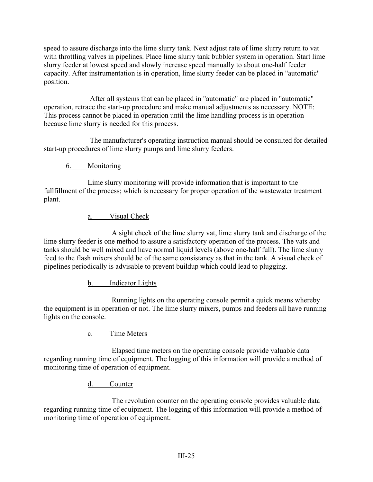speed to assure discharge into the lime slurry tank. Next adjust rate of lime slurry return to vat with throttling valves in pipelines. Place lime slurry tank bubbler system in operation. Start lime slurry feeder at lowest speed and slowly increase speed manually to about one-half feeder capacity. After instrumentation is in operation, lime slurry feeder can be placed in "automatic" position.

After all systems that can be placed in "automatic" are placed in "automatic" operation, retrace the start-up procedure and make manual adjustments as necessary. NOTE: This process cannot be placed in operation until the lime handling process is in operation because lime slurry is needed for this process.

The manufacturer's operating instruction manual should be consulted for detailed start-up procedures of lime slurry pumps and lime slurry feeders.

# 6. Monitoring

Lime slurry monitoring will provide information that is important to the fullfillment of the process; which is necessary for proper operation of the wastewater treatment plant.

# a. Visual Check

A sight check of the lime slurry vat, lime slurry tank and discharge of the lime slurry feeder is one method to assure a satisfactory operation of the process. The vats and tanks should be well mixed and have normal liquid levels (above one-half full). The lime slurry feed to the flash mixers should be of the same consistancy as that in the tank. A visual check of pipelines periodically is advisable to prevent buildup which could lead to plugging.

b. Indicator Lights

Running lights on the operating console permit a quick means whereby the equipment is in operation or not. The lime slurry mixers, pumps and feeders all have running lights on the console.

# c. Time Meters

Elapsed time meters on the operating console provide valuable data regarding running time of equipment. The logging of this information will provide a method of monitoring time of operation of equipment.

d. Counter

The revolution counter on the operating console provides valuable data regarding running time of equipment. The logging of this information will provide a method of monitoring time of operation of equipment.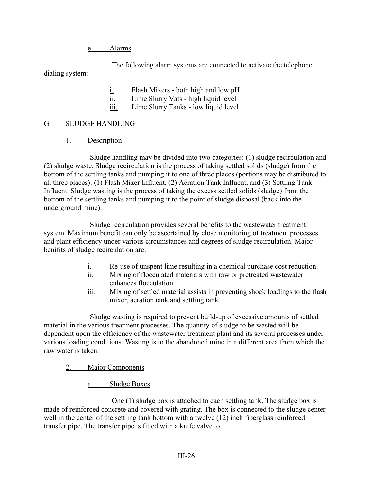### e. Alarms

The following alarm systems are connected to activate the telephone

dialing system:

 $i.$  Flash Mixers - both high and low pH

ii. Lime Slurry Vats - high liquid level

iii. Lime Slurry Tanks - low liquid level

# G. SLUDGE HANDLING

1. Description

Sludge handling may be divided into two categories: (1) sludge recirculation and (2) sludge waste. Sludge recirculation is the process of taking settled solids (sludge) from the bottom of the settling tanks and pumping it to one of three places (portions may be distributed to all three places): (1) Flash Mixer Influent, (2) Aeration Tank Influent, and (3) Settling Tank Influent. Sludge wasting is the process of taking the excess settled solids (sludge) from the bottom of the settling tanks and pumping it to the point of sludge disposal (back into the underground mine).

Sludge recirculation provides several benefits to the wastewater treatment system. Maximum benefit can only be ascertained by close monitoring of treatment processes and plant efficiency under various circumstances and degrees of sludge recirculation. Major benifits of sludge recirculation are:

- $i.$  Re-use of unspent lime resulting in a chemical purchase cost reduction.<br>ii. Mixing of flocculated materials with raw or pretreated wastewater
- Mixing of flocculated materials with raw or pretreated wastewater enhances flocculation.
- iii. Mixing of settled material assists in preventing shock loadings to the flash mixer, aeration tank and settling tank.

Sludge wasting is required to prevent build-up of excessive amounts of settled material in the various treatment processes. The quantity of sludge to be wasted will be dependent upon the efficiency of the wastewater treatment plant and its several processes under various loading conditions. Wasting is to the abandoned mine in a different area from which the raw water is taken.

- 2. Major Components
	- a. Sludge Boxes

One (1) sludge box is attached to each settling tank. The sludge box is made of reinforced concrete and covered with grating. The box is connected to the sludge center well in the center of the settling tank bottom with a twelve (12) inch fiberglass reinforced transfer pipe. The transfer pipe is fitted with a knife valve to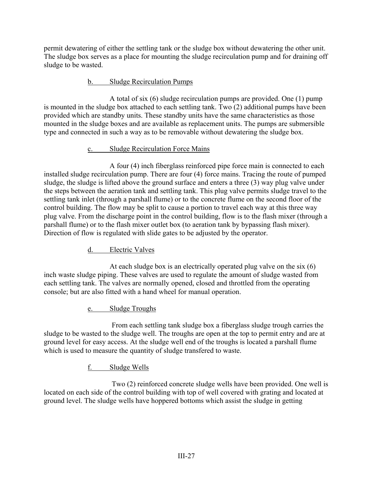permit dewatering of either the settling tank or the sludge box without dewatering the other unit. The sludge box serves as a place for mounting the sludge recirculation pump and for draining off sludge to be wasted.

#### b. Sludge Recirculation Pumps

A total of six (6) sludge recirculation pumps are provided. One (1) pump is mounted in the sludge box attached to each settling tank. Two (2) additional pumps have been provided which are standby units. These standby units have the same characteristics as those mounted in the sludge boxes and are available as replacement units. The pumps are submersible type and connected in such a way as to be removable without dewatering the sludge box.

# c. Sludge Recirculation Force Mains

A four (4) inch fiberglass reinforced pipe force main is connected to each installed sludge recirculation pump. There are four (4) force mains. Tracing the route of pumped sludge, the sludge is lifted above the ground surface and enters a three (3) way plug valve under the steps between the aeration tank and settling tank. This plug valve permits sludge travel to the settling tank inlet (through a parshall flume) or to the concrete flume on the second floor of the control building. The flow may be split to cause a portion to travel each way at this three way plug valve. From the discharge point in the control building, flow is to the flash mixer (through a parshall flume) or to the flash mixer outlet box (to aeration tank by bypassing flash mixer). Direction of flow is regulated with slide gates to be adjusted by the operator.

# d. Electric Valves

At each sludge box is an electrically operated plug valve on the six (6) inch waste sludge piping. These valves are used to regulate the amount of sludge wasted from each settling tank. The valves are normally opened, closed and throttled from the operating console; but are also fitted with a hand wheel for manual operation.

# e. Sludge Troughs

From each settling tank sludge box a fiberglass sludge trough carries the sludge to be wasted to the sludge well. The troughs are open at the top to permit entry and are at ground level for easy access. At the sludge well end of the troughs is located a parshall flume which is used to measure the quantity of sludge transfered to waste.

# f. Sludge Wells

Two (2) reinforced concrete sludge wells have been provided. One well is located on each side of the control building with top of well covered with grating and located at ground level. The sludge wells have hoppered bottoms which assist the sludge in getting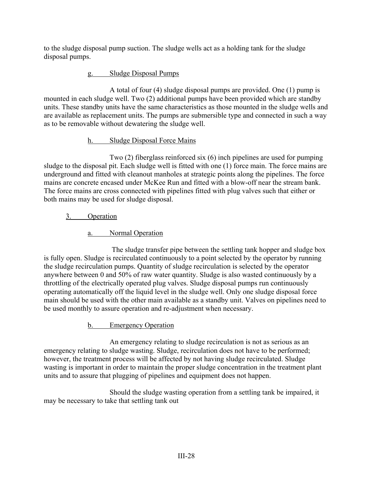to the sludge disposal pump suction. The sludge wells act as a holding tank for the sludge disposal pumps.

# g. Sludge Disposal Pumps

A total of four (4) sludge disposal pumps are provided. One (1) pump is mounted in each sludge well. Two (2) additional pumps have been provided which are standby units. These standby units have the same characteristics as those mounted in the sludge wells and are available as replacement units. The pumps are submersible type and connected in such a way as to be removable without dewatering the sludge well.

# h. Sludge Disposal Force Mains

Two (2) fiberglass reinforced six (6) inch pipelines are used for pumping sludge to the disposal pit. Each sludge well is fitted with one (1) force main. The force mains are underground and fitted with cleanout manholes at strategic points along the pipelines. The force mains are concrete encased under McKee Run and fitted with a blow-off near the stream bank. The force mains are cross connected with pipelines fitted with plug valves such that either or both mains may be used for sludge disposal.

# 3. Operation

# a. Normal Operation

The sludge transfer pipe between the settling tank hopper and sludge box is fully open. Sludge is recirculated continuously to a point selected by the operator by running the sludge recirculation pumps. Quantity of sludge recirculation is selected by the operator anywhere between 0 and 50% of raw water quantity. Sludge is also wasted continuously by a throttling of the electrically operated plug valves. Sludge disposal pumps run continuously operating automatically off the liquid level in the sludge well. Only one sludge disposal force main should be used with the other main available as a standby unit. Valves on pipelines need to be used monthly to assure operation and re-adjustment when necessary.

b. Emergency Operation

An emergency relating to sludge recirculation is not as serious as an emergency relating to sludge wasting. Sludge, recirculation does not have to be performed; however, the treatment process will be affected by not having sludge recirculated. Sludge wasting is important in order to maintain the proper sludge concentration in the treatment plant units and to assure that plugging of pipelines and equipment does not happen.

Should the sludge wasting operation from a settling tank be impaired, it may be necessary to take that settling tank out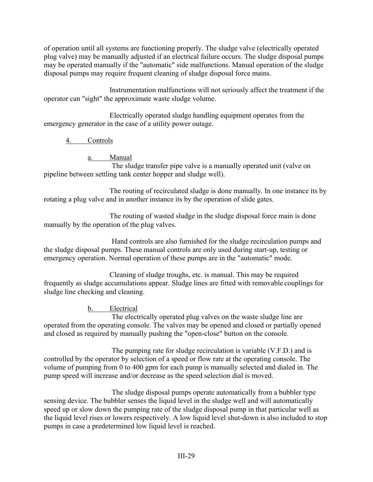of operation until all systems are functioning properly. The sludge valve (electrically operated plug valve) may be manually adjusted if an electrical failure occurs. The sludge disposal pumps may be operated manually if the "automatic" side malfunctions. Manual operation of the sludge disposal pumps may require frequent cleaning of sludge disposal force mains.

Instrumentation malfunctions will not seriously affect the treatment if the operator can "sight" the approximate waste sludge volume.

Electrically operated sludge handling equipment operates from the emergency generator in the case of a utility power outage.

4. Controls

a. Manual

The sludge transfer pipe valve is a manually operated unit (valve on pipeline between settling tank center hopper and sludge well).

The routing of recirculated sludge is done manually. In one instance its by rotating a plug valve and in another instance its by the operation of slide gates.

The routing of wasted sludge in the sludge disposal force main is done manually by the operation of the plug valves.

Hand controls are also furnished for the sludge recirculation pumps and the sludge disposal pumps. These manual controls are only used during start-up, testing or emergency operation. Normal operation of these pumps are in the "automatic" mode.

Cleaning of sludge troughs, etc. is manual. This may be required frequently as sludge accumulations appear. Sludge lines are fitted with removable couplings for sludge line checking and cleaning.

b. Electrical

The electrically operated plug valves on the waste sludge line are operated from the operating console. The valves may be opened and closed or partially opened and closed as required by manually pushing the "open-close" button on the console.

The pumping rate for sludge recirculation is variable (V.F.D.) and is controlled by the operator by selection of a speed or flow rate at the operating console. The volume of pumping from 0 to 400 gpm for each pump is manually selected and dialed in. The pump speed will increase and/or decrease as the speed selection dial is moved.

The sludge disposal pumps operate automatically from a bubbler type sensing device. The bubbler senses the liquid level in the sludge well and will automatically speed up or slow down the pumping rate of the sludge disposal pump in that particular well as the liquid level rises or lowers respectively. A low liquid level shut-down is also included to stop pumps in case a predetermined low liquid level is reached.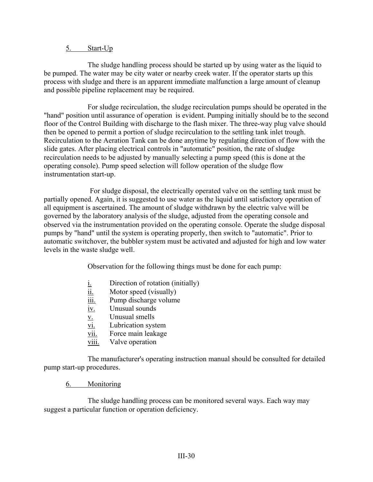#### 5. Start-Up

The sludge handling process should be started up by using water as the liquid to be pumped. The water may be city water or nearby creek water. If the operator starts up this process with sludge and there is an apparent immediate malfunction a large amount of cleanup and possible pipeline replacement may be required.

For sludge recirculation, the sludge recirculation pumps should be operated in the "hand" position until assurance of operation is evident. Pumping initially should be to the second floor of the Control Building with discharge to the flash mixer. The three-way plug valve should then be opened to permit a portion of sludge recirculation to the settling tank inlet trough. Recirculation to the Aeration Tank can be done anytime by regulating direction of flow with the slide gates. After placing electrical controls in "automatic" position, the rate of sludge recirculation needs to be adjusted by manually selecting a pump speed (this is done at the operating console). Pump speed selection will follow operation of the sludge flow instrumentation start-up.

For sludge disposal, the electrically operated valve on the settling tank must be partially opened. Again, it is suggested to use water as the liquid until satisfactory operation of all equipment is ascertained. The amount of sludge withdrawn by the electric valve will be governed by the laboratory analysis of the sludge, adjusted from the operating console and observed via the instrumentation provided on the operating console. Operate the sludge disposal pumps by "hand" until the system is operating properly, then switch to "automatic". Prior to automatic switchover, the bubbler system must be activated and adjusted for high and low water levels in the waste sludge well.

Observation for the following things must be done for each pump:

- $i.$  Direction of rotation (initially)
- ii. Motor speed (visually)
- iii. Pump discharge volume
- iv. Unusual sounds
- v. Unusual smells
- vi. Lubrication system
- vii. Force main leakage
- viii. Valve operation

The manufacturer's operating instruction manual should be consulted for detailed pump start-up procedures.

#### 6. Monitoring

The sludge handling process can be monitored several ways. Each way may suggest a particular function or operation deficiency.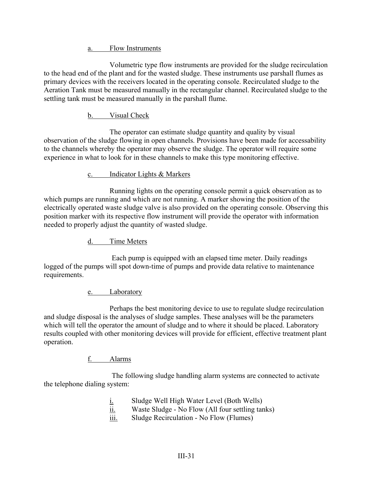a. Flow Instruments

Volumetric type flow instruments are provided for the sludge recirculation to the head end of the plant and for the wasted sludge. These instruments use parshall flumes as primary devices with the receivers located in the operating console. Recirculated sludge to the Aeration Tank must be measured manually in the rectangular channel. Recirculated sludge to the settling tank must be measured manually in the parshall flume.

# b. Visual Check

The operator can estimate sludge quantity and quality by visual observation of the sludge flowing in open channels. Provisions have been made for accessability to the channels whereby the operator may observe the sludge. The operator will require some experience in what to look for in these channels to make this type monitoring effective.

## c. Indicator Lights & Markers

Running lights on the operating console permit a quick observation as to which pumps are running and which are not running. A marker showing the position of the electrically operated waste sludge valve is also provided on the operating console. Observing this position marker with its respective flow instrument will provide the operator with information needed to properly adjust the quantity of wasted sludge.

## d. Time Meters

Each pump is equipped with an elapsed time meter. Daily readings logged of the pumps will spot down-time of pumps and provide data relative to maintenance requirements.

#### e. Laboratory

Perhaps the best monitoring device to use to regulate sludge recirculation and sludge disposal is the analyses of sludge samples. These analyses will be the parameters which will tell the operator the amount of sludge and to where it should be placed. Laboratory results coupled with other monitoring devices will provide for efficient, effective treatment plant operation.

# f. Alarms

The following sludge handling alarm systems are connected to activate the telephone dialing system:

- i. Sludge Well High Water Level (Both Wells)
- ii. Waste Sludge No Flow (All four settling tanks)
- iii. Sludge Recirculation No Flow (Flumes)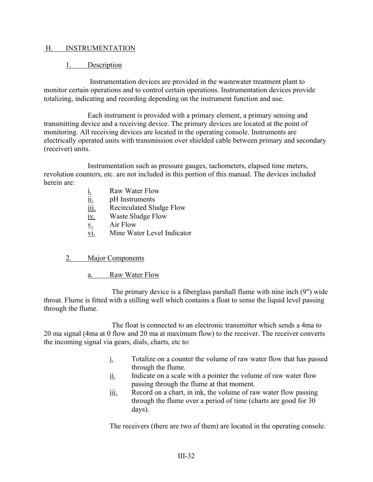#### H. INSTRUMENTATION

#### 1. Description

Instrumentation devices are provided in the wastewater treatment plant to monitor certain operations and to control certain operations. Instrumentation devices provide totalizing, indicating and recording depending on the instrument function and use.

Each instrument is provided with a primary element, a primary sensing and transmitting device and a receiving device. The primary devices are located at the point of monitoring. All receiving devices are located in the operating console. Instruments are electrically operated units with transmission over shielded cable between primary and secondary (receiver) units.

Instrumentation such as pressure gauges, tachometers, elapsed time meters, revolution counters, etc. are not included in this portion of this manual. The devices included herein are:

- i. Raw Water Flow
- ii. pH Instruments
- iii. Recirculated Sludge Flow
- iv. Waste Sludge Flow
- v. Air Flow
- vi. Mine Water Level Indicator

#### 2. Major Components

a. Raw Water Flow

The primary device is a fiberglass parshall flume with nine inch (9") wide throat. Flume is fitted with a stilling well which contains a float to sense the liquid level passing through the flume.

The float is connected to an electronic transmitter which sends a 4ma to 20 ma signal (4ma at 0 flow and 20 ma at maximum flow) to the receiver. The receiver converts the incoming signal via gears, dials, charts, etc to:

- i. Totalize on a counter the volume of raw water flow that has passed through the flume.
- ii. Indicate on a scale with a pointer the volume of raw water flow passing through the flume at that moment.
- iii. Record on a chart, in ink, the volume of raw water flow passing through the flume over a period of time (charts are good for 30 days).

The receivers (there are two of them) are located in the operating console.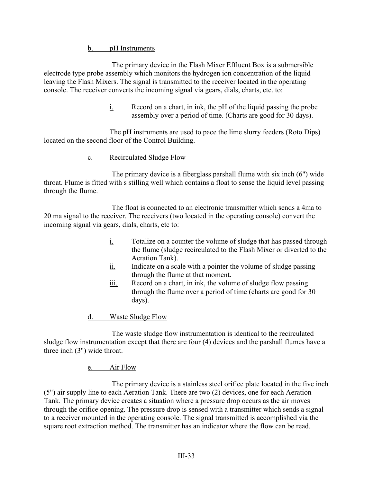#### b. pH Instruments

The primary device in the Flash Mixer Effluent Box is a submersible electrode type probe assembly which monitors the hydrogen ion concentration of the liquid leaving the Flash Mixers. The signal is transmitted to the receiver located in the operating console. The receiver converts the incoming signal via gears, dials, charts, etc. to:

> i. Record on a chart, in ink, the pH of the liquid passing the probe assembly over a period of time. (Charts are good for 30 days).

The pH instruments are used to pace the lime slurry feeders (Roto Dips) located on the second floor of the Control Building.

#### c. Recirculated Sludge Flow

The primary device is a fiberglass parshall flume with six inch (6") wide throat. Flume is fitted with s stilling well which contains a float to sense the liquid level passing through the flume.

The float is connected to an electronic transmitter which sends a 4ma to 20 ma signal to the receiver. The receivers (two located in the operating console) convert the incoming signal via gears, dials, charts, etc to:

- i. Totalize on a counter the volume of sludge that has passed through the flume (sludge recirculated to the Flash Mixer or diverted to the Aeration Tank).
- $i$  Indicate on a scale with a pointer the volume of sludge passing through the flume at that moment.
- iii. Record on a chart, in ink, the volume of sludge flow passing through the flume over a period of time (charts are good for 30 days).
- d. Waste Sludge Flow

The waste sludge flow instrumentation is identical to the recirculated sludge flow instrumentation except that there are four (4) devices and the parshall flumes have a three inch (3") wide throat.

#### e. Air Flow

The primary device is a stainless steel orifice plate located in the five inch (5") air supply line to each Aeration Tank. There are two (2) devices, one for each Aeration Tank. The primary device creates a situation where a pressure drop occurs as the air moves through the orifice opening. The pressure drop is sensed with a transmitter which sends a signal to a receiver mounted in the operating console. The signal transmitted is accomplished via the square root extraction method. The transmitter has an indicator where the flow can be read.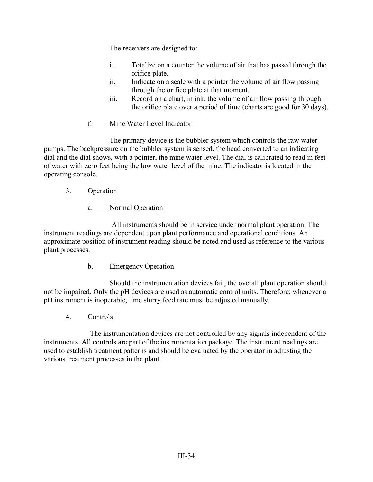The receivers are designed to:

- i. Totalize on a counter the volume of air that has passed through the orifice plate.
- ii. Indicate on a scale with a pointer the volume of air flow passing through the orifice plate at that moment.
- iii. Record on a chart, in ink, the volume of air flow passing through the orifice plate over a period of time (charts are good for 30 days).

## f. Mine Water Level Indicator

The primary device is the bubbler system which controls the raw water pumps. The backpressure on the bubbler system is sensed, the head converted to an indicating dial and the dial shows, with a pointer, the mine water level. The dial is calibrated to read in feet of water with zero feet being the low water level of the mine. The indicator is located in the operating console.

## 3. Operation

a. Normal Operation

All instruments should be in service under normal plant operation. The instrument readings are dependent upon plant performance and operational conditions. An approximate position of instrument reading should be noted and used as reference to the various plant processes.

#### b. Emergency Operation

Should the instrumentation devices fail, the overall plant operation should not be impaired. Only the pH devices are used as automatic control units. Therefore; whenever a pH instrument is inoperable, lime slurry feed rate must be adjusted manually.

# 4. Controls

The instrumentation devices are not controlled by any signals independent of the instruments. All controls are part of the instrumentation package. The instrument readings are used to establish treatment patterns and should be evaluated by the operator in adjusting the various treatment processes in the plant.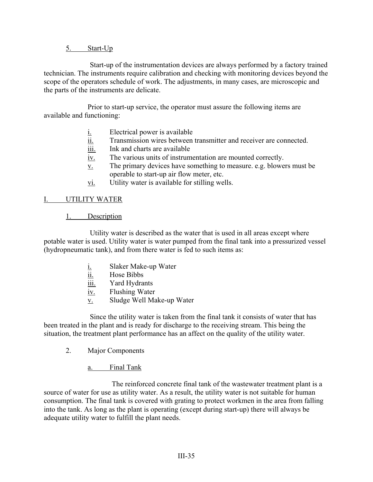#### 5. Start-Up

Start-up of the instrumentation devices are always performed by a factory trained technician. The instruments require calibration and checking with monitoring devices beyond the scope of the operators schedule of work. The adjustments, in many cases, are microscopic and the parts of the instruments are delicate.

Prior to start-up service, the operator must assure the following items are available and functioning:

- $i.$  Electrical power is available
- ii. Transmission wires between transmitter and receiver are connected.
- iii. Ink and charts are available
- iv. The various units of instrumentation are mounted correctly.
- v. The primary devices have something to measure. e.g. blowers must be operable to start-up air flow meter, etc.
- vi. Utility water is available for stilling wells.

#### I. UTILITY WATER

#### 1. Description

Utility water is described as the water that is used in all areas except where potable water is used. Utility water is water pumped from the final tank into a pressurized vessel (hydropneumatic tank), and from there water is fed to such items as:

- $i.$  Slaker Make-up Water<br>ii. Hose Bibbs
- Hose Bibbs
- iii. Yard Hydrants
- iv. Flushing Water
- v. Sludge Well Make-up Water

Since the utility water is taken from the final tank it consists of water that has been treated in the plant and is ready for discharge to the receiving stream. This being the situation, the treatment plant performance has an affect on the quality of the utility water.

2. Major Components

#### a. Final Tank

The reinforced concrete final tank of the wastewater treatment plant is a source of water for use as utility water. As a result, the utility water is not suitable for human consumption. The final tank is covered with grating to protect workmen in the area from falling into the tank. As long as the plant is operating (except during start-up) there will always be adequate utility water to fulfill the plant needs.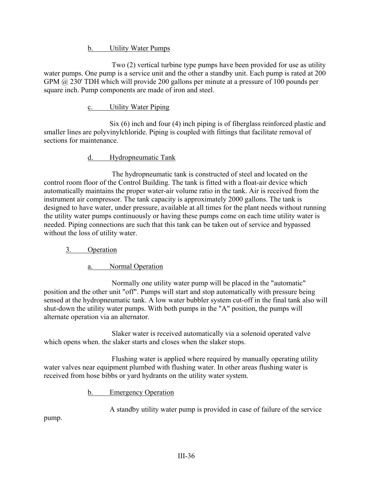b. Utility Water Pumps

Two (2) vertical turbine type pumps have been provided for use as utility water pumps. One pump is a service unit and the other a standby unit. Each pump is rated at 200 GPM @ 230' TDH which will provide 200 gallons per minute at a pressure of 100 pounds per square inch. Pump components are made of iron and steel.

## c. Utility Water Piping

Six (6) inch and four (4) inch piping is of fiberglass reinforced plastic and smaller lines are polyvinylchloride. Piping is coupled with fittings that facilitate removal of sections for maintenance.

## d. Hydropneumatic Tank

The hydropneumatic tank is constructed of steel and located on the control room floor of the Control Building. The tank is fitted with a float-air device which automatically maintains the proper water-air volume ratio in the tank. Air is received from the instrument air compressor. The tank capacity is approximately 2000 gallons. The tank is designed to have water, under pressure, available at all times for the plant needs without running the utility water pumps continuously or having these pumps come on each time utility water is needed. Piping connections are such that this tank can be taken out of service and bypassed without the loss of utility water.

# 3. Operation

#### a. Normal Operation

Normally one utility water pump will be placed in the "automatic" position and the other unit "off". Pumps will start and stop automatically with pressure being sensed at the hydropneumatic tank. A low water bubbler system cut-off in the final tank also will shut-down the utility water pumps. With both pumps in the "A" position, the pumps will alternate operation via an alternator.

Slaker water is received automatically via a solenoid operated valve which opens when. the slaker starts and closes when the slaker stops.

Flushing water is applied where required by manually operating utility water valves near equipment plumbed with flushing water. In other areas flushing water is received from hose bibbs or yard hydrants on the utility water system.

b. Emergency Operation

A standby utility water pump is provided in case of failure of the service

pump.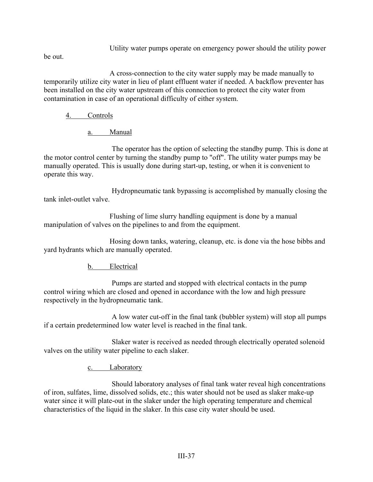Utility water pumps operate on emergency power should the utility power

be out.

A cross-connection to the city water supply may be made manually to temporarily utilize city water in lieu of plant effluent water if needed. A backflow preventer has been installed on the city water upstream of this connection to protect the city water from contamination in case of an operational difficulty of either system.

# 4. Controls

a. Manual

The operator has the option of selecting the standby pump. This is done at the motor control center by turning the standby pump to "off". The utility water pumps may be manually operated. This is usually done during start-up, testing, or when it is convenient to operate this way.

Hydropneumatic tank bypassing is accomplished by manually closing the tank inlet-outlet valve.

Flushing of lime slurry handling equipment is done by a manual manipulation of valves on the pipelines to and from the equipment.

Hosing down tanks, watering, cleanup, etc. is done via the hose bibbs and yard hydrants which are manually operated.

# b. Electrical

Pumps are started and stopped with electrical contacts in the pump control wiring which are closed and opened in accordance with the low and high pressure respectively in the hydropneumatic tank.

A low water cut-off in the final tank (bubbler system) will stop all pumps if a certain predetermined low water level is reached in the final tank.

Slaker water is received as needed through electrically operated solenoid valves on the utility water pipeline to each slaker.

c. Laboratory

Should laboratory analyses of final tank water reveal high concentrations of iron, sulfates, lime, dissolved solids, etc.; this water should not be used as slaker make-up water since it will plate-out in the slaker under the high operating temperature and chemical characteristics of the liquid in the slaker. In this case city water should be used.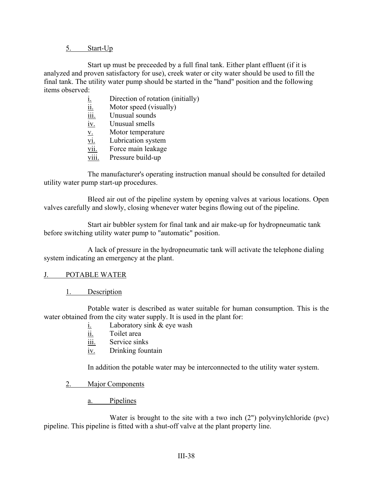#### 5. Start-Up

Start up must be preceeded by a full final tank. Either plant effluent (if it is analyzed and proven satisfactory for use), creek water or city water should be used to fill the final tank. The utility water pump should be started in the "hand" position and the following items observed:

- $i.$  Direction of rotation (initially)
- $i$ <u>ii.</u> Motor speed (visually)
- iii. Unusual sounds
- iv. Unusual smells
- v. Motor temperature
- vi. Lubrication system
- vii. Force main leakage
- viii. Pressure build-up

The manufacturer's operating instruction manual should be consulted for detailed utility water pump start-up procedures.

Bleed air out of the pipeline system by opening valves at various locations. Open valves carefully and slowly, closing whenever water begins flowing out of the pipeline.

Start air bubbler system for final tank and air make-up for hydropneumatic tank before switching utility water pump to "automatic" position.

A lack of pressure in the hydropneumatic tank will activate the telephone dialing system indicating an emergency at the plant.

#### J. POTABLE WATER

1. Description

Potable water is described as water suitable for human consumption. This is the water obtained from the city water supply. It is used in the plant for:

- i. Laboratory sink & eye wash
- ii. Toilet area
- iii. Service sinks
- iv. Drinking fountain

In addition the potable water may be interconnected to the utility water system.

- 2. Major Components
	- a. Pipelines

Water is brought to the site with a two inch (2") polyvinylchloride (pvc) pipeline. This pipeline is fitted with a shut-off valve at the plant property line.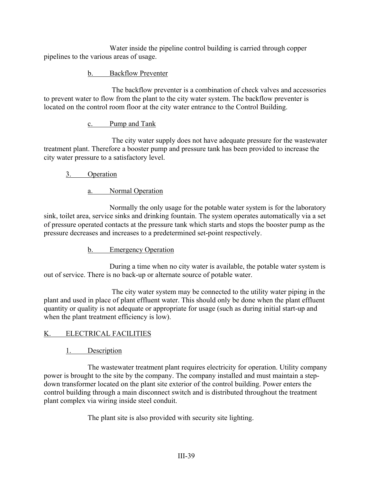Water inside the pipeline control building is carried through copper pipelines to the various areas of usage.

## b. Backflow Preventer

The backflow preventer is a combination of check valves and accessories to prevent water to flow from the plant to the city water system. The backflow preventer is located on the control room floor at the city water entrance to the Control Building.

### c. Pump and Tank

The city water supply does not have adequate pressure for the wastewater treatment plant. Therefore a booster pump and pressure tank has been provided to increase the city water pressure to a satisfactory level.

# 3. Operation

## a. Normal Operation

Normally the only usage for the potable water system is for the laboratory sink, toilet area, service sinks and drinking fountain. The system operates automatically via a set of pressure operated contacts at the pressure tank which starts and stops the booster pump as the pressure decreases and increases to a predetermined set-point respectively.

# b. Emergency Operation

During a time when no city water is available, the potable water system is out of service. There is no back-up or alternate source of potable water.

The city water system may be connected to the utility water piping in the plant and used in place of plant effluent water. This should only be done when the plant effluent quantity or quality is not adequate or appropriate for usage (such as during initial start-up and when the plant treatment efficiency is low).

# K. ELECTRICAL FACILITIES

# 1. Description

The wastewater treatment plant requires electricity for operation. Utility company power is brought to the site by the company. The company installed and must maintain a stepdown transformer located on the plant site exterior of the control building. Power enters the control building through a main disconnect switch and is distributed throughout the treatment plant complex via wiring inside steel conduit.

The plant site is also provided with security site lighting.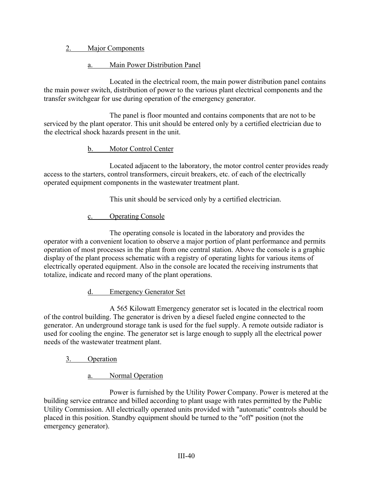# 2. Major Components

# a. Main Power Distribution Panel

Located in the electrical room, the main power distribution panel contains the main power switch, distribution of power to the various plant electrical components and the transfer switchgear for use during operation of the emergency generator.

The panel is floor mounted and contains components that are not to be serviced by the plant operator. This unit should be entered only by a certified electrician due to the electrical shock hazards present in the unit.

## b. Motor Control Center

Located adjacent to the laboratory, the motor control center provides ready access to the starters, control transformers, circuit breakers, etc. of each of the electrically operated equipment components in the wastewater treatment plant.

This unit should be serviced only by a certified electrician.

## c. Operating Console

The operating console is located in the laboratory and provides the operator with a convenient location to observe a major portion of plant performance and permits operation of most processes in the plant from one central station. Above the console is a graphic display of the plant process schematic with a registry of operating lights for various items of electrically operated equipment. Also in the console are located the receiving instruments that totalize, indicate and record many of the plant operations.

d. Emergency Generator Set

A 565 Kilowatt Emergency generator set is located in the electrical room of the control building. The generator is driven by a diesel fueled engine connected to the generator. An underground storage tank is used for the fuel supply. A remote outside radiator is used for cooling the engine. The generator set is large enough to supply all the electrical power needs of the wastewater treatment plant.

# 3. Operation

a. Normal Operation

Power is furnished by the Utility Power Company. Power is metered at the building service entrance and billed according to plant usage with rates permitted by the Public Utility Commission. All electrically operated units provided with "automatic" controls should be placed in this position. Standby equipment should be turned to the "off" position (not the emergency generator).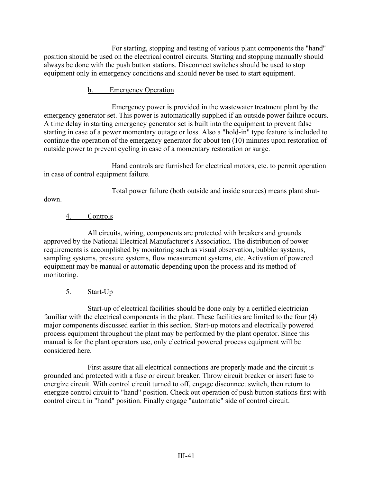For starting, stopping and testing of various plant components the "hand" position should be used on the electrical control circuits. Starting and stopping manually should always be done with the push button stations. Disconnect switches should be used to stop equipment only in emergency conditions and should never be used to start equipment.

## b. Emergency Operation

Emergency power is provided in the wastewater treatment plant by the emergency generator set. This power is automatically supplied if an outside power failure occurs. A time delay in starting emergency generator set is built into the equipment to prevent false starting in case of a power momentary outage or loss. Also a "hold-in" type feature is included to continue the operation of the emergency generator for about ten (10) minutes upon restoration of outside power to prevent cycling in case of a momentary restoration or surge.

Hand controls are furnished for electrical motors, etc. to permit operation in case of control equipment failure.

Total power failure (both outside and inside sources) means plant shut-

down.

# 4. Controls

All circuits, wiring, components are protected with breakers and grounds approved by the National Electrical Manufacturer's Association. The distribution of power requirements is accomplished by monitoring such as visual observation, bubbler systems, sampling systems, pressure systems, flow measurement systems, etc. Activation of powered equipment may be manual or automatic depending upon the process and its method of monitoring.

# 5. Start-Up

Start-up of electrical facilities should be done only by a certified electrician familiar with the electrical components in the plant. These facilities are limited to the four (4) major components discussed earlier in this section. Start-up motors and electrically powered process equipment throughout the plant may be performed by the plant operator. Since this manual is for the plant operators use, only electrical powered process equipment will be considered here.

First assure that all electrical connections are properly made and the circuit is grounded and protected with a fuse or circuit breaker. Throw circuit breaker or insert fuse to energize circuit. With control circuit turned to off, engage disconnect switch, then return to energize control circuit to "hand" position. Check out operation of push button stations first with control circuit in "hand" position. Finally engage "automatic" side of control circuit.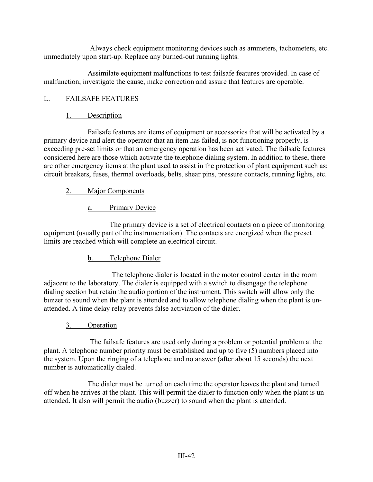Always check equipment monitoring devices such as ammeters, tachometers, etc. immediately upon start-up. Replace any burned-out running lights.

Assimilate equipment malfunctions to test failsafe features provided. In case of malfunction, investigate the cause, make correction and assure that features are operable.

### L. FAILSAFE FEATURES

## 1. Description

Failsafe features are items of equipment or accessories that will be activated by a primary device and alert the operator that an item has failed, is not functioning properly, is exceeding pre-set limits or that an emergency operation has been activated. The failsafe features considered here are those which activate the telephone dialing system. In addition to these, there are other emergency items at the plant used to assist in the protection of plant equipment such as; circuit breakers, fuses, thermal overloads, belts, shear pins, pressure contacts, running lights, etc.

#### 2. Major Components

## a. Primary Device

The primary device is a set of electrical contacts on a piece of monitoring equipment (usually part of the instrumentation). The contacts are energized when the preset limits are reached which will complete an electrical circuit.

b. Telephone Dialer

The telephone dialer is located in the motor control center in the room adjacent to the laboratory. The dialer is equipped with a switch to disengage the telephone dialing section but retain the audio portion of the instrument. This switch will allow only the buzzer to sound when the plant is attended and to allow telephone dialing when the plant is unattended. A time delay relay prevents false activiation of the dialer.

#### 3. Operation

The failsafe features are used only during a problem or potential problem at the plant. A telephone number priority must be established and up to five  $(5)$  numbers placed into the system. Upon the ringing of a telephone and no answer (after about 15 seconds) the next number is automatically dialed.

The dialer must be turned on each time the operator leaves the plant and turned off when he arrives at the plant. This will permit the dialer to function only when the plant is unattended. It also will permit the audio (buzzer) to sound when the plant is attended.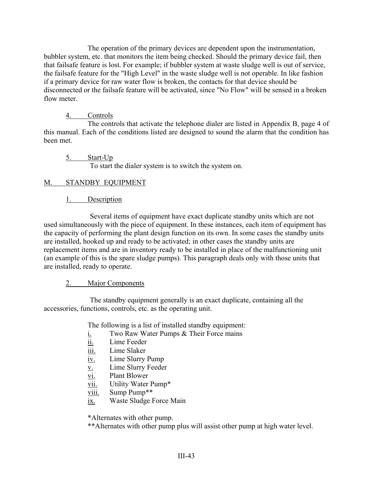The operation of the primary devices are dependent upon the instrumentation, bubbler system, etc. that monitors the item being checked. Should the primary device fail, then that failsafe feature is lost. For example; if bubbler system at waste sludge well is out of service, the failsafe feature for the "High Level" in the waste sludge well is not operable. In like fashion if a primary device for raw water flow is broken, the contacts for that device should be disconnected or the failsafe feature will be activated, since "No Flow" will be sensed in a broken flow meter.

## 4. Controls

The controls that activate the telephone dialer are listed in Appendix B, page 4 of this manual. Each of the conditions listed are designed to sound the alarm that the condition has been met.

5. Start-Up To start the dialer system is to switch the system on.

## M. STANDBY EQUIPMENT

## 1. Description

Several items of equipment have exact duplicate standby units which are not used simultaneously with the piece of equipment. In these instances, each item of equipment has the capacity of performing the plant design function on its own. In some cases the standby units are installed, hooked up and ready to be activated; in other cases the standby units are replacement items and are in inventory ready to be installed in place of the malfunctioning unit (an example of this is the spare sludge pumps). This paragraph deals only with those units that are installed, ready to operate.

#### 2. Major Components

The standby equipment generally is an exact duplicate, containing all the accessories, functions, controls, etc. as the operating unit.

The following is a list of installed standby equipment:

- i. Two Raw Water Pumps & Their Force mains
- ii. Lime Feeder
- iii. Lime Slaker
- iv. Lime Slurry Pump
- v. Lime Slurry Feeder
- vi. Plant Blower
- vii. Utility Water Pump\*
- viii. Sump Pump\*\*
- ix. Waste Sludge Force Main

\*Alternates with other pump.

\*\*Alternates with other pump plus will assist other pump at high water level.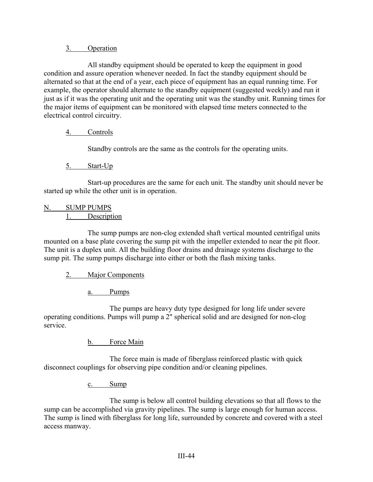### 3. Operation

All standby equipment should be operated to keep the equipment in good condition and assure operation whenever needed. In fact the standby equipment should be alternated so that at the end of a year, each piece of equipment has an equal running time. For example, the operator should alternate to the standby equipment (suggested weekly) and run it just as if it was the operating unit and the operating unit was the standby unit. Running times for the major items of equipment can be monitored with elapsed time meters connected to the electrical control circuitry.

# 4. Controls

Standby controls are the same as the controls for the operating units.

## 5. Start-Up

Start-up procedures are the same for each unit. The standby unit should never be started up while the other unit is in operation.

#### N. SUMP PUMPS 1. Description

The sump pumps are non-clog extended shaft vertical mounted centrifigal units mounted on a base plate covering the sump pit with the impeller extended to near the pit floor. The unit is a duplex unit. All the building floor drains and drainage systems discharge to the sump pit. The sump pumps discharge into either or both the flash mixing tanks.

# 2. Major Components

a. Pumps

The pumps are heavy duty type designed for long life under severe operating conditions. Pumps will pump a 2" spherical solid and are designed for non-clog service.

b. Force Main

The force main is made of fiberglass reinforced plastic with quick disconnect couplings for observing pipe condition and/or cleaning pipelines.

c. Sump

The sump is below all control building elevations so that all flows to the sump can be accomplished via gravity pipelines. The sump is large enough for human access. The sump is lined with fiberglass for long life, surrounded by concrete and covered with a steel access manway.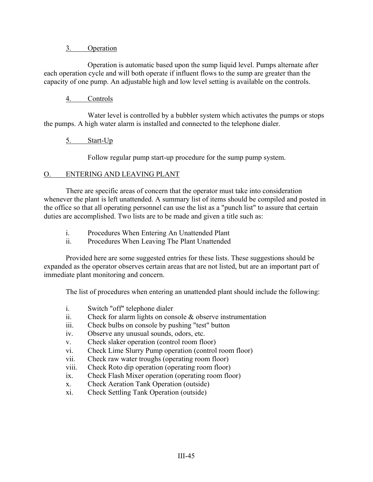#### 3. Operation

Operation is automatic based upon the sump liquid level. Pumps alternate after each operation cycle and will both operate if influent flows to the sump are greater than the capacity of one pump. An adjustable high and low level setting is available on the controls.

#### 4. Controls

Water level is controlled by a bubbler system which activates the pumps or stops the pumps. A high water alarm is installed and connected to the telephone dialer.

#### 5. Start-Up

Follow regular pump start-up procedure for the sump pump system.

#### O. ENTERING AND LEAVING PLANT

There are specific areas of concern that the operator must take into consideration whenever the plant is left unattended. A summary list of items should be compiled and posted in the office so that all operating personnel can use the list as a "punch list" to assure that certain duties are accomplished. Two lists are to be made and given a title such as:

- i. Procedures When Entering An Unattended Plant
- ii. Procedures When Leaving The Plant Unattended

Provided here are some suggested entries for these lists. These suggestions should be expanded as the operator observes certain areas that are not listed, but are an important part of immediate plant monitoring and concern.

The list of procedures when entering an unattended plant should include the following:

- i. Switch "off" telephone dialer
- ii. Check for alarm lights on console & observe instrumentation
- iii. Check bulbs on console by pushing "test" button
- iv. Observe any unusual sounds, odors, etc.
- v. Check slaker operation (control room floor)
- vi. Check Lime Slurry Pump operation (control room floor)
- vii. Check raw water troughs (operating room floor)
- viii. Check Roto dip operation (operating room floor)
- ix. Check Flash Mixer operation (operating room floor)
- x. Check Aeration Tank Operation (outside)
- xi. Check Settling Tank Operation (outside)